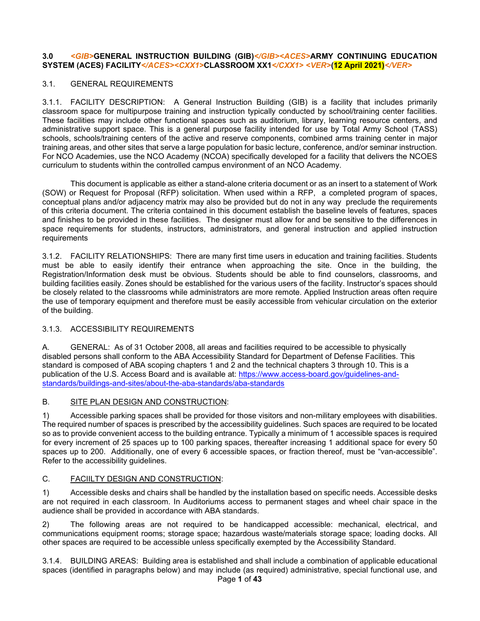#### **3.0** *<GIB>***GENERAL INSTRUCTION BUILDING (GIB)***</GIB><ACES>***ARMY CONTINUING EDUCATION SYSTEM (ACES) FACILITY***</ACES><CXX1>***CLASSROOM XX1***</CXX1> <VER>***(12 April 2021)***</VER>*

### 3.1. GENERAL REQUIREMENTS

3.1.1. FACILITY DESCRIPTION: A General Instruction Building (GIB) is a facility that includes primarily classroom space for multipurpose training and instruction typically conducted by school/training center facilities. These facilities may include other functional spaces such as auditorium, library, learning resource centers, and administrative support space. This is a general purpose facility intended for use by Total Army School (TASS) schools, schools/training centers of the active and reserve components, combined arms training center in major training areas, and other sites that serve a large population for basic lecture, conference, and/or seminar instruction. For NCO Academies, use the NCO Academy (NCOA) specifically developed for a facility that delivers the NCOES curriculum to students within the controlled campus environment of an NCO Academy.

This document is applicable as either a stand-alone criteria document or as an insert to a statement of Work (SOW) or Request for Proposal (RFP) solicitation. When used within a RFP, a completed program of spaces, conceptual plans and/or adjacency matrix may also be provided but do not in any way preclude the requirements of this criteria document. The criteria contained in this document establish the baseline levels of features, spaces and finishes to be provided in these facilities. The designer must allow for and be sensitive to the differences in space requirements for students, instructors, administrators, and general instruction and applied instruction requirements

3.1.2. FACILITY RELATIONSHIPS: There are many first time users in education and training facilities. Students must be able to easily identify their entrance when approaching the site. Once in the building, the Registration/Information desk must be obvious. Students should be able to find counselors, classrooms, and building facilities easily. Zones should be established for the various users of the facility. Instructor's spaces should be closely related to the classrooms while administrators are more remote. Applied Instruction areas often require the use of temporary equipment and therefore must be easily accessible from vehicular circulation on the exterior of the building.

## 3.1.3. ACCESSIBILITY REQUIREMENTS

A. GENERAL: As of 31 October 2008, all areas and facilities required to be accessible to physically disabled persons shall conform to the ABA Accessibility Standard for Department of Defense Facilities. This standard is composed of ABA scoping chapters 1 and 2 and the technical chapters 3 through 10. This is a publication of the U.S. Access Board and is available at: [https://www.access-board.gov/guidelines-and](https://www.access-board.gov/guidelines-and-standards/buildings-and-sites/about-the-aba-standards/aba-standards)[standards/buildings-and-sites/about-the-aba-standards/aba-standards](https://www.access-board.gov/guidelines-and-standards/buildings-and-sites/about-the-aba-standards/aba-standards)

#### B. SITE PLAN DESIGN AND CONSTRUCTION:

1) Accessible parking spaces shall be provided for those visitors and non-military employees with disabilities. The required number of spaces is prescribed by the accessibility guidelines. Such spaces are required to be located so as to provide convenient access to the building entrance. Typically a minimum of 1 accessible spaces is required for every increment of 25 spaces up to 100 parking spaces, thereafter increasing 1 additional space for every 50 spaces up to 200. Additionally, one of every 6 accessible spaces, or fraction thereof, must be "van-accessible". Refer to the accessibility guidelines.

#### C. FACIILTY DESIGN AND CONSTRUCTION:

1) Accessible desks and chairs shall be handled by the installation based on specific needs. Accessible desks are not required in each classroom. In Auditoriums access to permanent stages and wheel chair space in the audience shall be provided in accordance with ABA standards.

2) The following areas are not required to be handicapped accessible: mechanical, electrical, and communications equipment rooms; storage space; hazardous waste/materials storage space; loading docks. All other spaces are required to be accessible unless specifically exempted by the Accessibility Standard.

3.1.4. BUILDING AREAS: Building area is established and shall include a combination of applicable educational spaces (identified in paragraphs below) and may include (as required) administrative, special functional use, and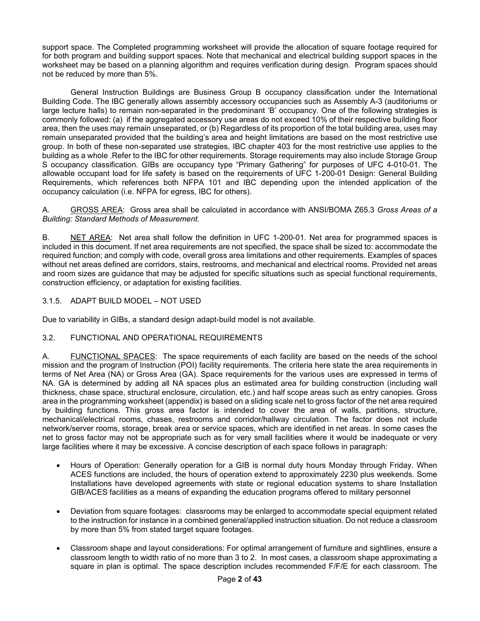support space. The Completed programming worksheet will provide the allocation of square footage required for for both program and building support spaces. Note that mechanical and electrical building support spaces in the worksheet may be based on a planning algorithm and requires verification during design. Program spaces should not be reduced by more than 5%.

General Instruction Buildings are Business Group B occupancy classification under the International Building Code. The IBC generally allows assembly accessory occupancies such as Assembly A-3 (auditoriums or large lecture halls) to remain non-separated in the predominant 'B' occupancy. One of the following strategies is commonly followed: (a) if the aggregated accessory use areas do not exceed 10% of their respective building floor area, then the uses may remain unseparated, or (b) Regardless of its proportion of the total building area, uses may remain unseparated provided that the building's area and height limitations are based on the most restrictive use group. In both of these non-separated use strategies, IBC chapter 403 for the most restrictive use applies to the building as a whole .Refer to the IBC for other requirements. Storage requirements may also include Storage Group S occupancy classification. GIBs are occupancy type "Primary Gathering" for purposes of UFC 4-010-01. The allowable occupant load for life safety is based on the requirements of UFC 1-200-01 Design: General Building Requirements, which references both NFPA 101 and IBC depending upon the intended application of the occupancy calculation (i.e. NFPA for egress, IBC for others).

A. GROSS AREA: Gross area shall be calculated in accordance with ANSI/BOMA Z65.3 *Gross Areas of a Building: Standard Methods of Measurement.*

B. NET AREA: Net area shall follow the definition in UFC 1-200-01. Net area for programmed spaces is included in this document. If net area requirements are not specified, the space shall be sized to: accommodate the required function; and comply with code, overall gross area limitations and other requirements. Examples of spaces without net areas defined are corridors, stairs, restrooms, and mechanical and electrical rooms. Provided net areas and room sizes are guidance that may be adjusted for specific situations such as special functional requirements, construction efficiency, or adaptation for existing facilities.

3.1.5. ADAPT BUILD MODEL – NOT USED

Due to variability in GIBs, a standard design adapt-build model is not available.

#### 3.2. FUNCTIONAL AND OPERATIONAL REQUIREMENTS

A. FUNCTIONAL SPACES: The space requirements of each facility are based on the needs of the school mission and the program of Instruction (POI) facility requirements. The criteria here state the area requirements in terms of Net Area (NA) or Gross Area (GA). Space requirements for the various uses are expressed in terms of NA. GA is determined by adding all NA spaces plus an estimated area for building construction (including wall thickness, chase space, structural enclosure, circulation, etc.) and half scope areas such as entry canopies. Gross area in the programming worksheet (appendix) is based on a sliding scale net to gross factor of the net area required by building functions. This gross area factor is intended to cover the area of walls, partitions, structure, mechanical/electrical rooms, chases, restrooms and corridor/hallway circulation. The factor does not include network/server rooms, storage, break area or service spaces, which are identified in net areas. In some cases the net to gross factor may not be appropriate such as for very small facilities where it would be inadequate or very large facilities where it may be excessive. A concise description of each space follows in paragraph:

- Hours of Operation: Generally operation for a GIB is normal duty hours Monday through Friday. When ACES functions are included, the hours of operation extend to approximately 2230 plus weekends. Some Installations have developed agreements with state or regional education systems to share Installation GIB/ACES facilities as a means of expanding the education programs offered to military personnel
- Deviation from square footages: classrooms may be enlarged to accommodate special equipment related to the instruction for instance in a combined general/applied instruction situation. Do not reduce a classroom by more than 5% from stated target square footages.
- Classroom shape and layout considerations: For optimal arrangement of furniture and sightlines, ensure a classroom length to width ratio of no more than 3 to 2. In most cases, a classroom shape approximating a square in plan is optimal. The space description includes recommended F/F/E for each classroom. The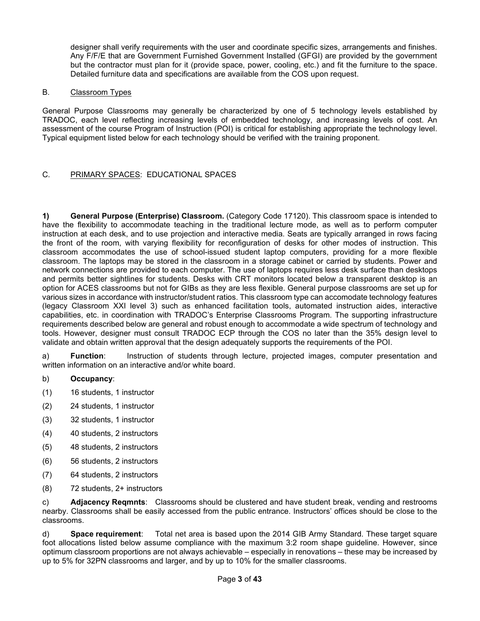designer shall verify requirements with the user and coordinate specific sizes, arrangements and finishes. Any F/F/E that are Government Furnished Government Installed (GFGI) are provided by the government but the contractor must plan for it (provide space, power, cooling, etc.) and fit the furniture to the space. Detailed furniture data and specifications are available from the COS upon request.

#### B. Classroom Types

General Purpose Classrooms may generally be characterized by one of 5 technology levels established by TRADOC, each level reflecting increasing levels of embedded technology, and increasing levels of cost. An assessment of the course Program of Instruction (POI) is critical for establishing appropriate the technology level. Typical equipment listed below for each technology should be verified with the training proponent.

## C. PRIMARY SPACES: EDUCATIONAL SPACES

**1) General Purpose (Enterprise) Classroom.** (Category Code 17120). This classroom space is intended to have the flexibility to accommodate teaching in the traditional lecture mode, as well as to perform computer instruction at each desk, and to use projection and interactive media. Seats are typically arranged in rows facing the front of the room, with varying flexibility for reconfiguration of desks for other modes of instruction. This classroom accommodates the use of school-issued student laptop computers, providing for a more flexible classroom. The laptops may be stored in the classroom in a storage cabinet or carried by students. Power and network connections are provided to each computer. The use of laptops requires less desk surface than desktops and permits better sightlines for students. Desks with CRT monitors located below a transparent desktop is an option for ACES classrooms but not for GIBs as they are less flexible. General purpose classrooms are set up for various sizes in accordance with instructor/student ratios. This classroom type can accomodate technology features (legacy Classroom XXI level 3) such as enhanced facilitation tools, automated instruction aides, interactive capabilities, etc. in coordination with TRADOC's Enterprise Classrooms Program. The supporting infrastructure requirements described below are general and robust enough to accommodate a wide spectrum of technology and tools. However, designer must consult TRADOC ECP through the COS no later than the 35% design level to validate and obtain written approval that the design adequately supports the requirements of the POI.

a) **Function**: Instruction of students through lecture, projected images, computer presentation and written information on an interactive and/or white board.

- b) **Occupancy**:
- (1) 16 students, 1 instructor
- (2) 24 students, 1 instructor
- (3) 32 students, 1 instructor
- (4) 40 students, 2 instructors
- (5) 48 students, 2 instructors
- (6) 56 students, 2 instructors
- (7) 64 students, 2 instructors
- (8) 72 students, 2+ instructors

c) **Adjacency Reqmnts**: Classrooms should be clustered and have student break, vending and restrooms nearby. Classrooms shall be easily accessed from the public entrance. Instructors' offices should be close to the classrooms.

d) **Space requirement**: Total net area is based upon the 2014 GIB Army Standard. These target square foot allocations listed below assume compliance with the maximum 3:2 room shape guideline. However, since optimum classroom proportions are not always achievable – especially in renovations – these may be increased by up to 5% for 32PN classrooms and larger, and by up to 10% for the smaller classrooms.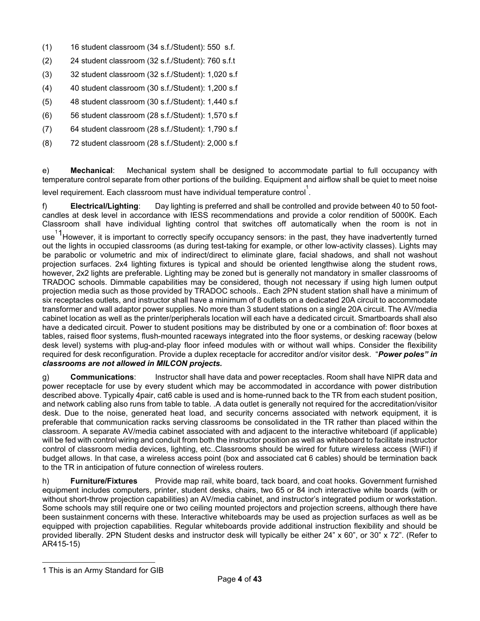- (1) 16 student classroom (34 s.f./Student): 550 s.f.
- (2) 24 student classroom (32 s.f./Student): 760 s.f.t
- (3) 32 student classroom (32 s.f./Student): 1,020 s.f
- (4) 40 student classroom (30 s.f./Student): 1,200 s.f
- (5) 48 student classroom (30 s.f./Student): 1,440 s.f
- (6) 56 student classroom (28 s.f./Student): 1,570 s.f
- (7) 64 student classroom (28 s.f./Student): 1,790 s.f
- (8) 72 student classroom (28 s.f./Student): 2,000 s.f

e) **Mechanical**: Mechanical system shall be designed to accommodate partial to full occupancy with temperature control separate from other portions of the building. Equipment and airflow shall be quiet to meet noise

level requirement. Each classroom must have individual temperature control 1 .

f) **Electrical/Lighting**: Day lighting is preferred and shall be controlled and provide between 40 to 50 footcandles at desk level in accordance with IESS recommendations and provide a color rendition of 5000K. Each Classroom shall have individual lighting control that switches off automatically when the room is not in

use<sup>11</sup>However, it is important to correctly specify occupancy sensors: in the past, they have inadvertently turned out the lights in occupied classrooms (as during test-taking for example, or other low-activity classes). Lights may be parabolic or volumetric and mix of indirect/direct to eliminate glare, facial shadows, and shall not washout projection surfaces. 2x4 lighting fixtures is typical and should be oriented lengthwise along the student rows, however, 2x2 lights are preferable. Lighting may be zoned but is generally not mandatory in smaller classrooms of TRADOC schools. Dimmable capabilities may be considered, though not necessary if using high lumen output projection media such as those provided by TRADOC schools.. Each 2PN student station shall have a minimum of six receptacles outlets, and instructor shall have a minimum of 8 outlets on a dedicated 20A circuit to accommodate transformer and wall adaptor power supplies. No more than 3 student stations on a single 20A circuit. The AV/media cabinet location as well as the printer/peripherals location will each have a dedicated circuit. Smartboards shall also have a dedicated circuit. Power to student positions may be distributed by one or a combination of: floor boxes at tables, raised floor systems, flush-mounted raceways integrated into the floor systems, or desking raceway (below desk level) systems with plug-and-play floor infeed modules with or without wall whips. Consider the flexibility required for desk reconfiguration. Provide a duplex receptacle for accreditor and/or visitor desk. "*Power poles" in classrooms are not allowed in MILCON projects.*

g) **Communications**: Instructor shall have data and power receptacles. Room shall have NIPR data and power receptacle for use by every student which may be accommodated in accordance with power distribution described above. Typically 4pair, cat6 cable is used and is home-runned back to the TR from each student position, and network cabling also runs from table to table. .A data outlet is generally not required for the accreditation/visitor desk. Due to the noise, generated heat load, and security concerns associated with network equipment, it is preferable that communication racks serving classrooms be consolidated in the TR rather than placed within the classroom. A separate AV/media cabinet associated with and adjacent to the interactive whiteboard (if applicable) will be fed with control wiring and conduit from both the instructor position as well as whiteboard to facilitate instructor control of classroom media devices, lighting, etc..Classrooms should be wired for future wireless access (WiFI) if budget allows. In that case, a wireless access point (box and associated cat 6 cables) should be termination back to the TR in anticipation of future connection of wireless routers.

h) **Furniture/Fixtures** Provide map rail, white board, tack board, and coat hooks. Government furnished equipment includes computers, printer, student desks, chairs, two 65 or 84 inch interactive white boards (with or without short-throw projection capabilities) an AV/media cabinet, and instructor's integrated podium or workstation. Some schools may still require one or two ceiling mounted projectors and projection screens, although there have been sustainment concerns with these. Interactive whiteboards may be used as projection surfaces as well as be equipped with projection capabilities. Regular whiteboards provide additional instruction flexibility and should be provided liberally. 2PN Student desks and instructor desk will typically be either 24" x 60", or 30" x 72". (Refer to AR415-15)

<span id="page-3-0"></span><sup>1</sup> This is an Army Standard for GIB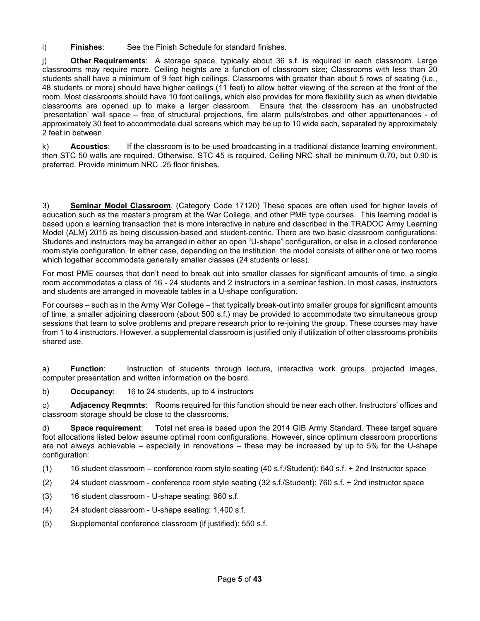i) **Finishes**: See the Finish Schedule for standard finishes.

j) **Other Requirements**: A storage space, typically about 36 s.f. is required in each classroom. Large classrooms may require more. Ceiling heights are a function of classroom size; Classrooms with less than 20 students shall have a minimum of 9 feet high ceilings. Classrooms with greater than about 5 rows of seating (i.e., 48 students or more) should have higher ceilings (11 feet) to allow better viewing of the screen at the front of the room. Most classrooms should have 10 foot ceilings, which also provides for more flexibility such as when dividable classrooms are opened up to make a larger classroom. Ensure that the classroom has an unobstructed 'presentation' wall space – free of structural projections, fire alarm pulls/strobes and other appurtenances - of approximately 30 feet to accommodate dual screens which may be up to 10 wide each, separated by approximately 2 feet in between.

k) **Acoustics**: If the classroom is to be used broadcasting in a traditional distance learning environment, then STC 50 walls are required. Otherwise, STC 45 is required. Ceiling NRC shall be minimum 0.70, but 0.90 is preferred. Provide minimum NRC .25 floor finishes.

3) **Seminar Model Classroom**. (Category Code 17120) These spaces are often used for higher levels of education such as the master's program at the War College, and other PME type courses. This learning model is based upon a learning transaction that is more interactive in nature and described in the TRADOC Army Learning Model (ALM) 2015 as being discussion-based and student-centric. There are two basic classroom configurations: Students and instructors may be arranged in either an open "U-shape" configuration, or else in a closed conference room style configuration. In either case, depending on the institution, the model consists of either one or two rooms which together accommodate generally smaller classes (24 students or less).

For most PME courses that don't need to break out into smaller classes for significant amounts of time, a single room accommodates a class of 16 - 24 students and 2 instructors in a seminar fashion. In most cases, instructors and students are arranged in moveable tables in a U-shape configuration.

For courses – such as in the Army War College – that typically break-out into smaller groups for significant amounts of time, a smaller adjoining classroom (about 500 s.f.) may be provided to accommodate two simultaneous group sessions that team to solve problems and prepare research prior to re-joining the group. These courses may have from 1 to 4 instructors. However, a supplemental classroom is justified only if utilization of other classrooms prohibits shared use.

a) **Function**: Instruction of students through lecture, interactive work groups, projected images, computer presentation and written information on the board.

b) **Occupancy**: 16 to 24 students, up to 4 instructors

c) **Adjacency Reqmnts**: Rooms required for this function should be near each other. Instructors' offices and classroom storage should be close to the classrooms.

d) **Space requirement**: Total net area is based upon the 2014 GIB Army Standard. These target square foot allocations listed below assume optimal room configurations. However, since optimum classroom proportions are not always achievable – especially in renovations – these may be increased by up to 5% for the U-shape configuration:

- (1) 16 student classroom conference room style seating (40 s.f./Student): 640 s.f. + 2nd Instructor space
- (2) 24 student classroom conference room style seating (32 s.f./Student): 760 s.f. + 2nd instructor space
- (3) 16 student classroom U-shape seating: 960 s.f.
- (4) 24 student classroom U-shape seating: 1,400 s.f.
- (5) Supplemental conference classroom (if justified): 550 s.f.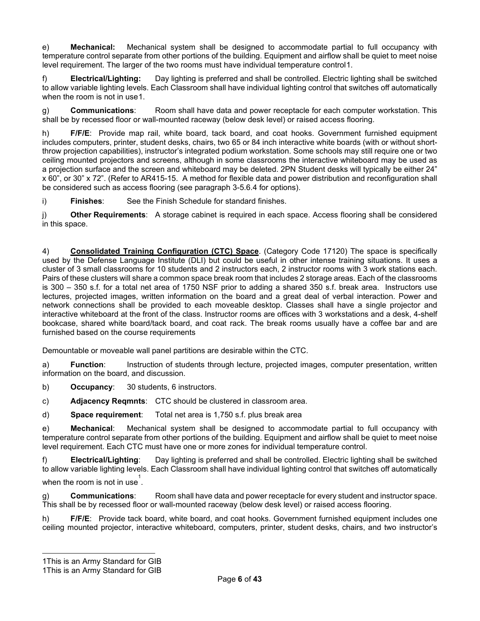e) **Mechanical:** Mechanical system shall be designed to accommodate partial to full occupancy with temperature control separate from other portions of the building. Equipment and airflow shall be quiet to meet noise level requirement. The larger of the two rooms must have individual temperature control[1](#page-5-0).

f) **Electrical/Lighting:** Day lighting is preferred and shall be controlled. Electric lighting shall be switched to allow variable lighting levels. Each Classroom shall have individual lighting control that switches off automatically when the room is not in use[1](#page-5-1).

g) **Communications**: Room shall have data and power receptacle for each computer workstation. This shall be by recessed floor or wall-mounted raceway (below desk level) or raised access flooring.

h) **F/F/E**: Provide map rail, white board, tack board, and coat hooks. Government furnished equipment includes computers, printer, student desks, chairs, two 65 or 84 inch interactive white boards (with or without shortthrow projection capabilities), instructor's integrated podium workstation. Some schools may still require one or two ceiling mounted projectors and screens, although in some classrooms the interactive whiteboard may be used as a projection surface and the screen and whiteboard may be deleted. 2PN Student desks will typically be either 24" x 60", or 30" x 72". (Refer to AR415-15. A method for flexible data and power distribution and reconfiguration shall be considered such as access flooring (see paragraph 3-5.6.4 for options).

i) **Finishes**: See the Finish Schedule for standard finishes.

j) **Other Requirements**: A storage cabinet is required in each space. Access flooring shall be considered in this space.

4) **Consolidated Training Configuration (CTC) Space**. (Category Code 17120) The space is specifically used by the Defense Language Institute (DLI) but could be useful in other intense training situations. It uses a cluster of 3 small classrooms for 10 students and 2 instructors each, 2 instructor rooms with 3 work stations each. Pairs of these clusters will share a common space break room that includes 2 storage areas. Each of the classrooms is 300 – 350 s.f. for a total net area of 1750 NSF prior to adding a shared 350 s.f. break area. Instructors use lectures, projected images, written information on the board and a great deal of verbal interaction. Power and network connections shall be provided to each moveable desktop. Classes shall have a single projector and interactive whiteboard at the front of the class. Instructor rooms are offices with 3 workstations and a desk, 4-shelf bookcase, shared white board/tack board, and coat rack. The break rooms usually have a coffee bar and are furnished based on the course requirements

Demountable or moveable wall panel partitions are desirable within the CTC.

a) **Function**: Instruction of students through lecture, projected images, computer presentation, written information on the board, and discussion.

- b) **Occupancy**: 30 students, 6 instructors.
- c) **Adjacency Reqmnts**: CTC should be clustered in classroom area.
- d) **Space requirement**: Total net area is 1,750 s.f. plus break area

e) **Mechanical**: Mechanical system shall be designed to accommodate partial to full occupancy with temperature control separate from other portions of the building. Equipment and airflow shall be quiet to meet noise level requirement. Each CTC must have one or more zones for individual temperature control.

f) **Electrical/Lighting**: Day lighting is preferred and shall be controlled. Electric lighting shall be switched to allow variable lighting levels. Each Classroom shall have individual lighting control that switches off automatically when the room is not in use  $\stackrel{1}{\cdot}$ .

g) **Communications**: Room shall have data and power receptacle for every student and instructor space. This shall be by recessed floor or wall-mounted raceway (below desk level) or raised access flooring.

h) **F/F/E**: Provide tack board, white board, and coat hooks. Government furnished equipment includes one ceiling mounted projector, interactive whiteboard, computers, printer, student desks, chairs, and two instructor's

<span id="page-5-0"></span><sup>1</sup>This is an Army Standard for GIB

<span id="page-5-1"></span><sup>1</sup>This is an Army Standard for GIB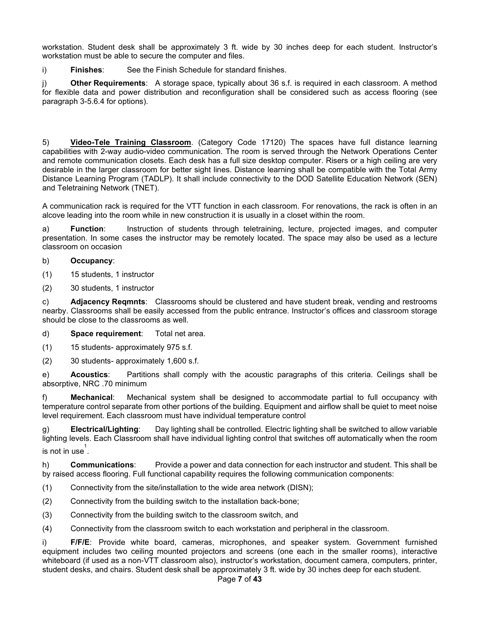workstation. Student desk shall be approximately 3 ft. wide by 30 inches deep for each student. Instructor's workstation must be able to secure the computer and files.

i) **Finishes**: See the Finish Schedule for standard finishes.

j) **Other Requirements**: A storage space, typically about 36 s.f. is required in each classroom. A method for flexible data and power distribution and reconfiguration shall be considered such as access flooring (see paragraph 3-5.6.4 for options).

5) **Video-Tele Training Classroom**. (Category Code 17120) The spaces have full distance learning capabilities with 2-way audio-video communication. The room is served through the Network Operations Center and remote communication closets. Each desk has a full size desktop computer. Risers or a high ceiling are very desirable in the larger classroom for better sight lines. Distance learning shall be compatible with the Total Army Distance Learning Program (TADLP). It shall include connectivity to the DOD Satellite Education Network (SEN) and Teletraining Network (TNET).

A communication rack is required for the VTT function in each classroom. For renovations, the rack is often in an alcove leading into the room while in new construction it is usually in a closet within the room.

a) **Function**: Instruction of students through teletraining, lecture, projected images, and computer presentation. In some cases the instructor may be remotely located. The space may also be used as a lecture classroom on occasion

#### b) **Occupancy**:

- (1) 15 students, 1 instructor
- (2) 30 students, 1 instructor

c) **Adjacency Reqmnts**: Classrooms should be clustered and have student break, vending and restrooms nearby. Classrooms shall be easily accessed from the public entrance. Instructor's offices and classroom storage should be close to the classrooms as well.

- d) **Space requirement**: Total net area.
- (1) 15 students- approximately 975 s.f.
- (2) 30 students- approximately 1,600 s.f.

e) **Acoustics**: Partitions shall comply with the acoustic paragraphs of this criteria. Ceilings shall be absorptive, NRC .70 minimum

f) **Mechanical**: Mechanical system shall be designed to accommodate partial to full occupancy with temperature control separate from other portions of the building. Equipment and airflow shall be quiet to meet noise level requirement. Each classroom must have individual temperature control

g) **Electrical/Lighting**: Day lighting shall be controlled. Electric lighting shall be switched to allow variable lighting levels. Each Classroom shall have individual lighting control that switches off automatically when the room is not in use $^{1}$ .

h) **Communications**: Provide a power and data connection for each instructor and student. This shall be by raised access flooring. Full functional capability requires the following communication components:

- (1) Connectivity from the site/installation to the wide area network (DISN);
- (2) Connectivity from the building switch to the installation back-bone;
- (3) Connectivity from the building switch to the classroom switch, and

(4) Connectivity from the classroom switch to each workstation and peripheral in the classroom.

i) **F/F/E**: Provide white board, cameras, microphones, and speaker system. Government furnished equipment includes two ceiling mounted projectors and screens (one each in the smaller rooms), interactive whiteboard (if used as a non-VTT classroom also), instructor's workstation, document camera, computers, printer, student desks, and chairs. Student desk shall be approximately 3 ft. wide by 30 inches deep for each student.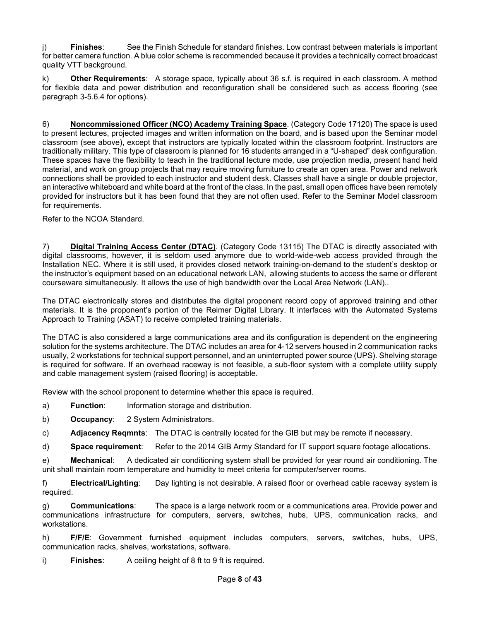j) **Finishes**: See the Finish Schedule for standard finishes. Low contrast between materials is important for better camera function. A blue color scheme is recommended because it provides a technically correct broadcast quality VTT background.

k) **Other Requirements**: A storage space, typically about 36 s.f. is required in each classroom. A method for flexible data and power distribution and reconfiguration shall be considered such as access flooring (see paragraph 3-5.6.4 for options).

6) **Noncommissioned Officer (NCO) Academy Training Space**. (Category Code 17120) The space is used to present lectures, projected images and written information on the board, and is based upon the Seminar model classroom (see above), except that instructors are typically located within the classroom footprint. Instructors are traditionally military. This type of classroom is planned for 16 students arranged in a "U-shaped" desk configuration. These spaces have the flexibility to teach in the traditional lecture mode, use projection media, present hand held material, and work on group projects that may require moving furniture to create an open area. Power and network connections shall be provided to each instructor and student desk. Classes shall have a single or double projector, an interactive whiteboard and white board at the front of the class. In the past, small open offices have been remotely provided for instructors but it has been found that they are not often used. Refer to the Seminar Model classroom for requirements.

Refer to the NCOA Standard.

7) **Digital Training Access Center (DTAC)**. (Category Code 13115) The DTAC is directly associated with digital classrooms, however, it is seldom used anymore due to world-wide-web access provided through the Installation NEC. Where it is still used, it provides closed network training-on-demand to the student's desktop or the instructor's equipment based on an educational network LAN, allowing students to access the same or different courseware simultaneously. It allows the use of high bandwidth over the Local Area Network (LAN)..

The DTAC electronically stores and distributes the digital proponent record copy of approved training and other materials. It is the proponent's portion of the Reimer Digital Library. It interfaces with the Automated Systems Approach to Training (ASAT) to receive completed training materials.

The DTAC is also considered a large communications area and its configuration is dependent on the engineering solution for the systems architecture. The DTAC includes an area for 4-12 servers housed in 2 communication racks usually, 2 workstations for technical support personnel, and an uninterrupted power source (UPS). Shelving storage is required for software. If an overhead raceway is not feasible, a sub-floor system with a complete utility supply and cable management system (raised flooring) is acceptable.

Review with the school proponent to determine whether this space is required.

- a) **Function**: Information storage and distribution.
- b) **Occupancy**: 2 System Administrators.
- c) **Adjacency Reqmnts**: The DTAC is centrally located for the GIB but may be remote if necessary.

d) **Space requirement**: Refer to the 2014 GIB Army Standard for IT support square footage allocations.

e) **Mechanical**: A dedicated air conditioning system shall be provided for year round air conditioning. The unit shall maintain room temperature and humidity to meet criteria for computer/server rooms.

f) **Electrical/Lighting**: Day lighting is not desirable. A raised floor or overhead cable raceway system is required.

g) **Communications**: The space is a large network room or a communications area. Provide power and communications infrastructure for computers, servers, switches, hubs, UPS, communication racks, and workstations.

h) **F/F/E**: Government furnished equipment includes computers, servers, switches, hubs, UPS, communication racks, shelves, workstations, software.

i) **Finishes**: A ceiling height of 8 ft to 9 ft is required.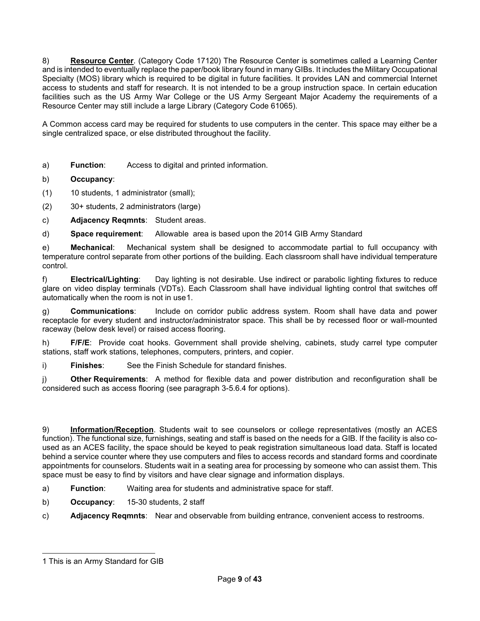8) **Resource Center**. (Category Code 17120) The Resource Center is sometimes called a Learning Center and is intended to eventually replace the paper/book library found in many GIBs. It includes the Military Occupational Specialty (MOS) library which is required to be digital in future facilities. It provides LAN and commercial Internet access to students and staff for research. It is not intended to be a group instruction space. In certain education facilities such as the US Army War College or the US Army Sergeant Major Academy the requirements of a Resource Center may still include a large Library (Category Code 61065).

A Common access card may be required for students to use computers in the center. This space may either be a single centralized space, or else distributed throughout the facility.

- a) **Function**: Access to digital and printed information.
- b) **Occupancy**:
- (1) 10 students, 1 administrator (small);
- (2) 30+ students, 2 administrators (large)
- c) **Adjacency Reqmnts**: Student areas.
- d) **Space requirement**: Allowable area is based upon the 2014 GIB Army Standard

e) **Mechanical**: Mechanical system shall be designed to accommodate partial to full occupancy with temperature control separate from other portions of the building. Each classroom shall have individual temperature control.

f) **Electrical/Lighting**: Day lighting is not desirable. Use indirect or parabolic lighting fixtures to reduce glare on video display terminals (VDTs). Each Classroom shall have individual lighting control that switches off automatically when the room is not in use[1](#page-8-0).

g) **Communications**: Include on corridor public address system. Room shall have data and power receptacle for every student and instructor/administrator space. This shall be by recessed floor or wall-mounted raceway (below desk level) or raised access flooring.

h) **F/F/E**: Provide coat hooks. Government shall provide shelving, cabinets, study carrel type computer stations, staff work stations, telephones, computers, printers, and copier.

i) **Finishes**: See the Finish Schedule for standard finishes.

j) **Other Requirements**: A method for flexible data and power distribution and reconfiguration shall be considered such as access flooring (see paragraph 3-5.6.4 for options).

9) **Information/Reception**. Students wait to see counselors or college representatives (mostly an ACES function). The functional size, furnishings, seating and staff is based on the needs for a GIB. If the facility is also coused as an ACES facility, the space should be keyed to peak registration simultaneous load data. Staff is located behind a service counter where they use computers and files to access records and standard forms and coordinate appointments for counselors. Students wait in a seating area for processing by someone who can assist them. This space must be easy to find by visitors and have clear signage and information displays.

- a) **Function**: Waiting area for students and administrative space for staff.
- b) **Occupancy**: 15-30 students, 2 staff
- c) **Adjacency Reqmnts**: Near and observable from building entrance, convenient access to restrooms.

<span id="page-8-0"></span><sup>1</sup> This is an Army Standard for GIB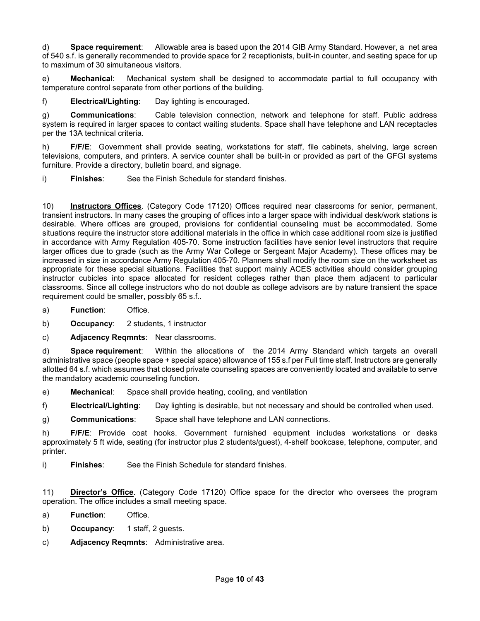d) **Space requirement**: Allowable area is based upon the 2014 GIB Army Standard. However, a net area of 540 s.f. is generally recommended to provide space for 2 receptionists, built-in counter, and seating space for up to maximum of 30 simultaneous visitors.

e) **Mechanical**: Mechanical system shall be designed to accommodate partial to full occupancy with temperature control separate from other portions of the building.

f) **Electrical/Lighting**: Day lighting is encouraged.

g) **Communications**: Cable television connection, network and telephone for staff. Public address system is required in larger spaces to contact waiting students. Space shall have telephone and LAN receptacles per the 13A technical criteria.

h) **F/F/E**: Government shall provide seating, workstations for staff, file cabinets, shelving, large screen televisions, computers, and printers. A service counter shall be built-in or provided as part of the GFGI systems furniture. Provide a directory, bulletin board, and signage.

i) **Finishes**: See the Finish Schedule for standard finishes.

10) **Instructors Offices**. (Category Code 17120) Offices required near classrooms for senior, permanent, transient instructors. In many cases the grouping of offices into a larger space with individual desk/work stations is desirable. Where offices are grouped, provisions for confidential counseling must be accommodated. Some situations require the instructor store additional materials in the office in which case additional room size is justified in accordance with Army Regulation 405-70. Some instruction facilities have senior level instructors that require larger offices due to grade (such as the Army War College or Sergeant Major Academy). These offices may be increased in size in accordance Army Regulation 405-70. Planners shall modify the room size on the worksheet as appropriate for these special situations. Facilities that support mainly ACES activities should consider grouping instructor cubicles into space allocated for resident colleges rather than place them adjacent to particular classrooms. Since all college instructors who do not double as college advisors are by nature transient the space requirement could be smaller, possibly 65 s.f..

- a) **Function**: Office.
- b) **Occupancy**: 2 students, 1 instructor
- c) **Adjacency Reqmnts**: Near classrooms.

d) **Space requirement**: Within the allocations of the 2014 Army Standard which targets an overall administrative space (people space + special space) allowance of 155 s.f per Full time staff. Instructors are generally allotted 64 s.f. which assumes that closed private counseling spaces are conveniently located and available to serve the mandatory academic counseling function.

- e) **Mechanical**: Space shall provide heating, cooling, and ventilation
- f) **Electrical/Lighting**: Day lighting is desirable, but not necessary and should be controlled when used.
- g) **Communications**: Space shall have telephone and LAN connections.

h) **F/F/E**: Provide coat hooks. Government furnished equipment includes workstations or desks approximately 5 ft wide, seating (for instructor plus 2 students/guest), 4-shelf bookcase, telephone, computer, and printer.

i) **Finishes**: See the Finish Schedule for standard finishes.

11) **Director's Office**. (Category Code 17120) Office space for the director who oversees the program operation. The office includes a small meeting space.

- a) **Function**: Office.
- b) **Occupancy**: 1 staff, 2 guests.
- c) **Adjacency Reqmnts**: Administrative area.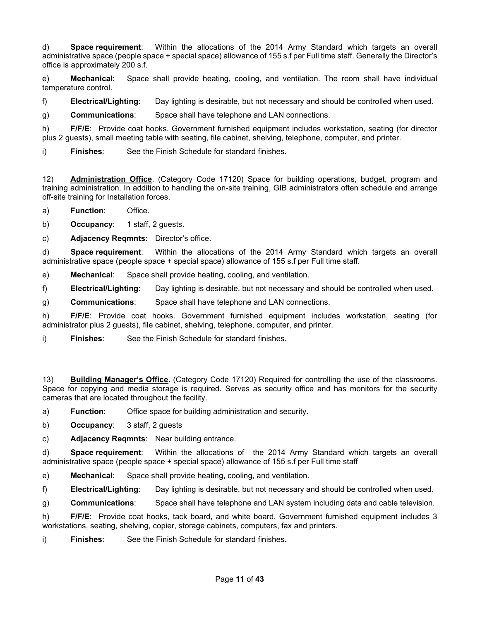d) **Space requirement**: Within the allocations of the 2014 Army Standard which targets an overall administrative space (people space + special space) allowance of 155 s.f per Full time staff. Generally the Director's office is approximately 200 s.f.

e) **Mechanical**: Space shall provide heating, cooling, and ventilation. The room shall have individual temperature control.

f) **Electrical/Lighting**: Day lighting is desirable, but not necessary and should be controlled when used.

g) **Communications**: Space shall have telephone and LAN connections.

h) **F/F/E**: Provide coat hooks. Government furnished equipment includes workstation, seating (for director plus 2 guests), small meeting table with seating, file cabinet, shelving, telephone, computer, and printer.

i) **Finishes**: See the Finish Schedule for standard finishes.

12) **Administration Office**. (Category Code 17120) Space for building operations, budget, program and training administration. In addition to handling the on-site training, GIB administrators often schedule and arrange off-site training for Installation forces.

a) **Function**: Office.

b) **Occupancy**: 1 staff, 2 guests.

c) **Adjacency Reqmnts**: Director's office.

d) **Space requirement**: Within the allocations of the 2014 Army Standard which targets an overall administrative space (people space + special space) allowance of 155 s.f per Full time staff.

e) **Mechanical**: Space shall provide heating, cooling, and ventilation.

f) **Electrical/Lighting**: Day lighting is desirable, but not necessary and should be controlled when used.

g) **Communications**: Space shall have telephone and LAN connections.

h) **F/F/E**: Provide coat hooks. Government furnished equipment includes workstation, seating (for administrator plus 2 guests), file cabinet, shelving, telephone, computer, and printer.

i) **Finishes**: See the Finish Schedule for standard finishes.

13) **Building Manager's Office**. (Category Code 17120) Required for controlling the use of the classrooms. Space for copying and media storage is required. Serves as security office and has monitors for the security cameras that are located throughout the facility.

a) **Function**: Office space for building administration and security.

b) **Occupancy**: 3 staff, 2 guests

c) **Adjacency Reqmnts**: Near building entrance.

d) **Space requirement**: Within the allocations of the 2014 Army Standard which targets an overall administrative space (people space + special space) allowance of 155 s.f per Full time staff

e) **Mechanical**: Space shall provide heating, cooling, and ventilation.

f) **Electrical/Lighting**: Day lighting is desirable, but not necessary and should be controlled when used.

g) **Communications**: Space shall have telephone and LAN system including data and cable television.

h) **F/F/E**: Provide coat hooks, tack board, and white board. Government furnished equipment includes 3 workstations, seating, shelving, copier, storage cabinets, computers, fax and printers.

i) **Finishes**: See the Finish Schedule for standard finishes.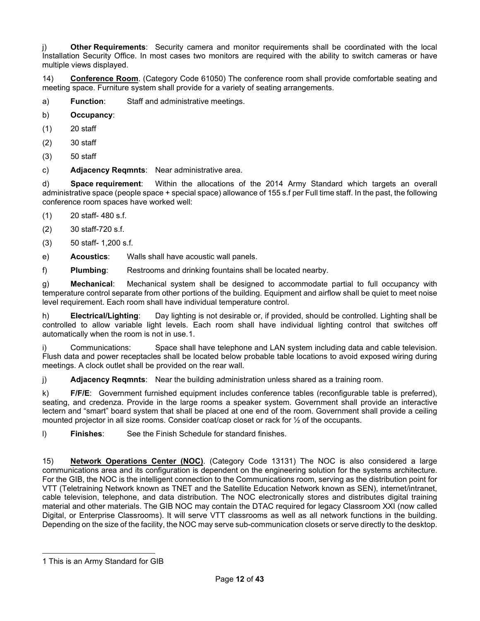j) **Other Requirements**: Security camera and monitor requirements shall be coordinated with the local Installation Security Office. In most cases two monitors are required with the ability to switch cameras or have multiple views displayed.

14) **Conference Room**. (Category Code 61050) The conference room shall provide comfortable seating and meeting space. Furniture system shall provide for a variety of seating arrangements.

a) **Function**: Staff and administrative meetings.

- b) **Occupancy**:
- (1) 20 staff
- (2) 30 staff
- (3) 50 staff

c) **Adjacency Reqmnts**: Near administrative area.

d) **Space requirement**: Within the allocations of the 2014 Army Standard which targets an overall administrative space (people space + special space) allowance of 155 s.f per Full time staff. In the past, the following conference room spaces have worked well:

- (1) 20 staff- 480 s.f.
- (2) 30 staff-720 s.f.
- (3) 50 staff- 1,200 s.f.
- e) **Acoustics**: Walls shall have acoustic wall panels.

f) **Plumbing**: Restrooms and drinking fountains shall be located nearby.

g) **Mechanical**: Mechanical system shall be designed to accommodate partial to full occupancy with temperature control separate from other portions of the building. Equipment and airflow shall be quiet to meet noise level requirement. Each room shall have individual temperature control.

h) **Electrical/Lighting**: Day lighting is not desirable or, if provided, should be controlled. Lighting shall be controlled to allow variable light levels. Each room shall have individual lighting control that switches off automatically when the room is not in use.[1](#page-11-0).

i) Communications: Space shall have telephone and LAN system including data and cable television. Flush data and power receptacles shall be located below probable table locations to avoid exposed wiring during meetings. A clock outlet shall be provided on the rear wall.

j) **Adjacency Reqmnts**: Near the building administration unless shared as a training room.

k) **F/F/E**: Government furnished equipment includes conference tables (reconfigurable table is preferred), seating, and credenza. Provide in the large rooms a speaker system. Government shall provide an interactive lectern and "smart" board system that shall be placed at one end of the room. Government shall provide a ceiling mounted projector in all size rooms. Consider coat/cap closet or rack for ½ of the occupants.

l) **Finishes**: See the Finish Schedule for standard finishes.

15) **Network Operations Center (NOC)**. (Category Code 13131) The NOC is also considered a large communications area and its configuration is dependent on the engineering solution for the systems architecture. For the GIB, the NOC is the intelligent connection to the Communications room, serving as the distribution point for VTT (Teletraining Network known as TNET and the Satellite Education Network known as SEN), internet/intranet, cable television, telephone, and data distribution. The NOC electronically stores and distributes digital training material and other materials. The GIB NOC may contain the DTAC required for legacy Classroom XXI (now called Digital, or Enterprise Classrooms). It will serve VTT classrooms as well as all network functions in the building. Depending on the size of the facility, the NOC may serve sub-communication closets or serve directly to the desktop.

<span id="page-11-0"></span><sup>1</sup> This is an Army Standard for GIB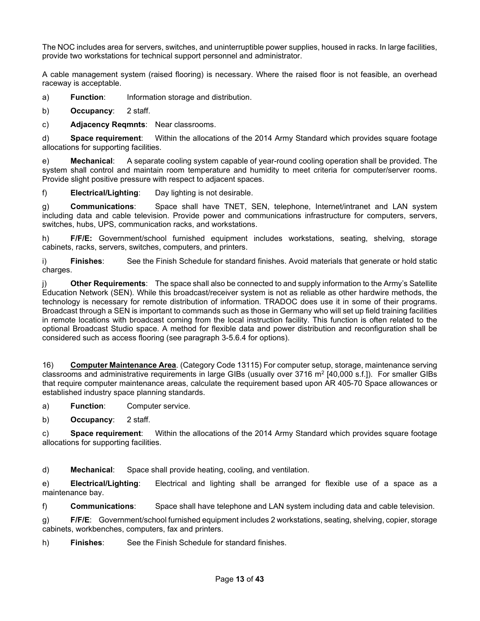The NOC includes area for servers, switches, and uninterruptible power supplies, housed in racks. In large facilities, provide two workstations for technical support personnel and administrator.

A cable management system (raised flooring) is necessary. Where the raised floor is not feasible, an overhead raceway is acceptable.

a) **Function**: Information storage and distribution.

b) **Occupancy**: 2 staff.

c) **Adjacency Reqmnts**: Near classrooms.

d) **Space requirement**: Within the allocations of the 2014 Army Standard which provides square footage allocations for supporting facilities.

e) **Mechanical**: A separate cooling system capable of year-round cooling operation shall be provided. The system shall control and maintain room temperature and humidity to meet criteria for computer/server rooms. Provide slight positive pressure with respect to adjacent spaces.

f) **Electrical/Lighting**: Day lighting is not desirable.

g) **Communications**: Space shall have TNET, SEN, telephone, Internet/intranet and LAN system including data and cable television. Provide power and communications infrastructure for computers, servers, switches, hubs, UPS, communication racks, and workstations.

h) **F/F/E:** Government/school furnished equipment includes workstations, seating, shelving, storage cabinets, racks, servers, switches, computers, and printers.

i) **Finishes**: See the Finish Schedule for standard finishes. Avoid materials that generate or hold static charges.

Other Requirements: The space shall also be connected to and supply information to the Army's Satellite Education Network (SEN). While this broadcast/receiver system is not as reliable as other hardwire methods, the technology is necessary for remote distribution of information. TRADOC does use it in some of their programs. Broadcast through a SEN is important to commands such as those in Germany who will set up field training facilities in remote locations with broadcast coming from the local instruction facility. This function is often related to the optional Broadcast Studio space. A method for flexible data and power distribution and reconfiguration shall be considered such as access flooring (see paragraph 3-5.6.4 for options).

16) **Computer Maintenance Area**. (Category Code 13115) For computer setup, storage, maintenance serving classrooms and administrative requirements in large GIBs (usually over 3716  $m^2$  [40,000 s.f.]). For smaller GIBs that require computer maintenance areas, calculate the requirement based upon AR 405-70 Space allowances or established industry space planning standards.

a) **Function**: Computer service.

b) **Occupancy**: 2 staff.

c) **Space requirement**: Within the allocations of the 2014 Army Standard which provides square footage allocations for supporting facilities.

d) **Mechanical**: Space shall provide heating, cooling, and ventilation.

e) **Electrical/Lighting**: Electrical and lighting shall be arranged for flexible use of a space as a maintenance bay.

f) **Communications**: Space shall have telephone and LAN system including data and cable television.

g) **F/F/E**: Government/school furnished equipment includes 2 workstations, seating, shelving, copier, storage cabinets, workbenches, computers, fax and printers.

h) **Finishes**: See the Finish Schedule for standard finishes.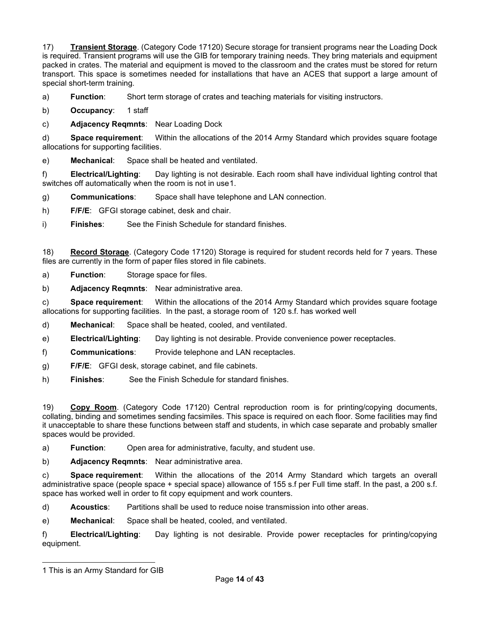17) **Transient Storage**. (Category Code 17120) Secure storage for transient programs near the Loading Dock is required. Transient programs will use the GIB for temporary training needs. They bring materials and equipment packed in crates. The material and equipment is moved to the classroom and the crates must be stored for return transport. This space is sometimes needed for installations that have an ACES that support a large amount of special short-term training.

a) **Function**: Short term storage of crates and teaching materials for visiting instructors.

b) **Occupancy**: 1 staff

c) **Adjacency Reqmnts**: Near Loading Dock

d) **Space requirement**: Within the allocations of the 2014 Army Standard which provides square footage allocations for supporting facilities.

e) **Mechanical**: Space shall be heated and ventilated.

f) **Electrical/Lighting**: Day lighting is not desirable. Each room shall have individual lighting control that switches off automatically when the room is not in use[1](#page-13-0).

g) **Communications**: Space shall have telephone and LAN connection.

h) **F/F/E**: GFGI storage cabinet, desk and chair.

i) **Finishes**: See the Finish Schedule for standard finishes.

18) **Record Storage**. (Category Code 17120) Storage is required for student records held for 7 years. These files are currently in the form of paper files stored in file cabinets.

a) **Function**: Storage space for files.

b) **Adjacency Reqmnts**: Near administrative area.

c) **Space requirement**: Within the allocations of the 2014 Army Standard which provides square footage allocations for supporting facilities. In the past, a storage room of 120 s.f. has worked well

d) **Mechanical**: Space shall be heated, cooled, and ventilated.

e) **Electrical/Lighting**: Day lighting is not desirable. Provide convenience power receptacles.

f) **Communications**: Provide telephone and LAN receptacles.

g) **F/F/E**: GFGI desk, storage cabinet, and file cabinets.

h) **Finishes**: See the Finish Schedule for standard finishes.

19) **Copy Room**. (Category Code 17120) Central reproduction room is for printing/copying documents, collating, binding and sometimes sending facsimiles. This space is required on each floor. Some facilities may find it unacceptable to share these functions between staff and students, in which case separate and probably smaller spaces would be provided.

a) **Function**: Open area for administrative, faculty, and student use.

b) **Adjacency Reqmnts**: Near administrative area.

c) **Space requirement**: Within the allocations of the 2014 Army Standard which targets an overall administrative space (people space + special space) allowance of 155 s.f per Full time staff. In the past, a 200 s.f. space has worked well in order to fit copy equipment and work counters.

d) **Acoustics**: Partitions shall be used to reduce noise transmission into other areas.

e) **Mechanical**: Space shall be heated, cooled, and ventilated.

f) **Electrical/Lighting**: Day lighting is not desirable. Provide power receptacles for printing/copying equipment.

<span id="page-13-0"></span><sup>1</sup> This is an Army Standard for GIB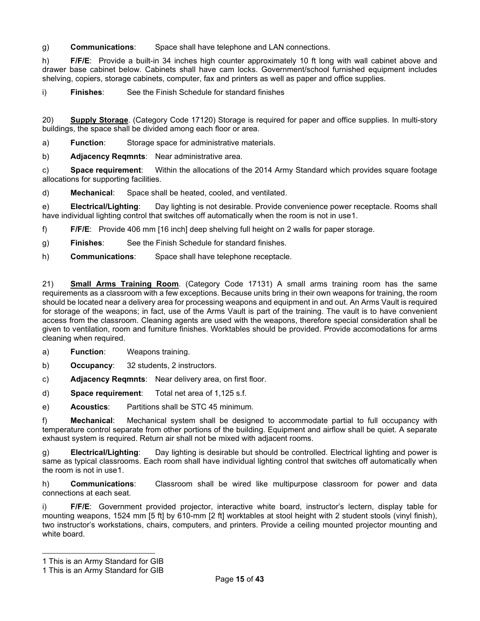g) **Communications**: Space shall have telephone and LAN connections.

h) **F/F/E**: Provide a built-in 34 inches high counter approximately 10 ft long with wall cabinet above and drawer base cabinet below. Cabinets shall have cam locks. Government/school furnished equipment includes shelving, copiers, storage cabinets, computer, fax and printers as well as paper and office supplies.

i) **Finishes**: See the Finish Schedule for standard finishes

20) **Supply Storage**. (Category Code 17120) Storage is required for paper and office supplies. In multi-story buildings, the space shall be divided among each floor or area.

a) **Function**: Storage space for administrative materials.

b) **Adjacency Reqmnts**: Near administrative area.

c) **Space requirement**: Within the allocations of the 2014 Army Standard which provides square footage allocations for supporting facilities.

d) **Mechanical**: Space shall be heated, cooled, and ventilated.

e) **Electrical/Lighting**: Day lighting is not desirable. Provide convenience power receptacle. Rooms shall have individual lighting control that switches off automatically when the room is not in use[1.](#page-14-0)

f) **F/F/E**: Provide 406 mm [16 inch] deep shelving full height on 2 walls for paper storage.

- g) **Finishes**: See the Finish Schedule for standard finishes.
- h) **Communications**: Space shall have telephone receptacle.

21) **Small Arms Training Room**. (Category Code 17131) A small arms training room has the same requirements as a classroom with a few exceptions. Because units bring in their own weapons for training, the room should be located near a delivery area for processing weapons and equipment in and out. An Arms Vault is required for storage of the weapons; in fact, use of the Arms Vault is part of the training. The vault is to have convenient access from the classroom. Cleaning agents are used with the weapons, therefore special consideration shall be given to ventilation, room and furniture finishes. Worktables should be provided. Provide accomodations for arms cleaning when required.

- a) **Function**: Weapons training.
- b) **Occupancy**: 32 students, 2 instructors.
- c) **Adjacency Reqmnts**: Near delivery area, on first floor.
- d) **Space requirement**: Total net area of 1,125 s.f.
- e) **Acoustics**: Partitions shall be STC 45 minimum.

f) **Mechanical**: Mechanical system shall be designed to accommodate partial to full occupancy with temperature control separate from other portions of the building. Equipment and airflow shall be quiet. A separate exhaust system is required. Return air shall not be mixed with adjacent rooms.

g) **Electrical/Lighting**: Day lighting is desirable but should be controlled. Electrical lighting and power is same as typical classrooms. Each room shall have individual lighting control that switches off automatically when the room is not in use[1.](#page-14-1)

h) **Communications**: Classroom shall be wired like multipurpose classroom for power and data connections at each seat.

i) **F/F/E**: Government provided projector, interactive white board, instructor's lectern, display table for mounting weapons, 1524 mm [5 ft] by 610-mm [2 ft] worktables at stool height with 2 student stools (vinyl finish), two instructor's workstations, chairs, computers, and printers. Provide a ceiling mounted projector mounting and white board.

<span id="page-14-0"></span><sup>1</sup> This is an Army Standard for GIB

<span id="page-14-1"></span><sup>1</sup> This is an Army Standard for GIB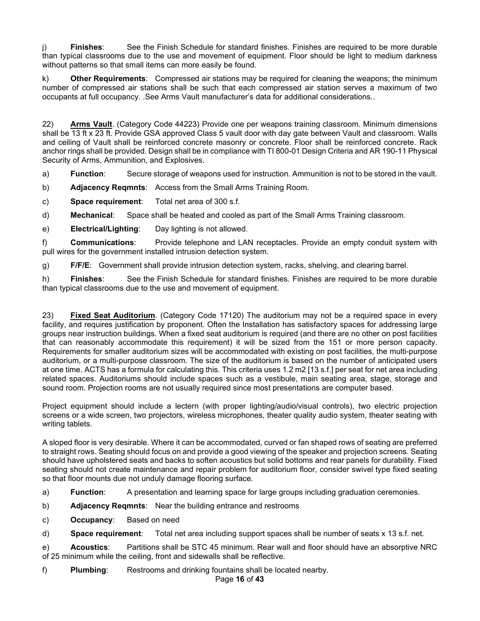j) **Finishes**: See the Finish Schedule for standard finishes. Finishes are required to be more durable than typical classrooms due to the use and movement of equipment. Floor should be light to medium darkness without patterns so that small items can more easily be found.

k) **Other Requirements**: Compressed air stations may be required for cleaning the weapons; the minimum number of compressed air stations shall be such that each compressed air station serves a maximum of two occupants at full occupancy. .See Arms Vault manufacturer's data for additional considerations..

22) **Arms Vault**. (Category Code 44223) Provide one per weapons training classroom. Minimum dimensions shall be 13 ft x 23 ft. Provide GSA approved Class 5 vault door with day gate between Vault and classroom. Walls and ceiling of Vault shall be reinforced concrete masonry or concrete. Floor shall be reinforced concrete. Rack anchor rings shall be provided. Design shall be in compliance with TI 800-01 Design Criteria and AR 190-11 Physical Security of Arms, Ammunition, and Explosives.

a) **Function**: Secure storage of weapons used for instruction. Ammunition is not to be stored in the vault.

b) **Adjacency Reqmnts**: Access from the Small Arms Training Room.

c) **Space requirement**: Total net area of 300 s.f.

d) **Mechanical**: Space shall be heated and cooled as part of the Small Arms Training classroom.

e) **Electrical/Lighting**: Day lighting is not allowed.

f) **Communications**: Provide telephone and LAN receptacles. Provide an empty conduit system with pull wires for the government installed intrusion detection system.

g) **F/F/E**: Government shall provide intrusion detection system, racks, shelving, and clearing barrel.

h) **Finishes**: See the Finish Schedule for standard finishes. Finishes are required to be more durable than typical classrooms due to the use and movement of equipment.

23) **Fixed Seat Auditorium**. (Category Code 17120) The auditorium may not be a required space in every facility, and requires justification by proponent. Often the Installation has satisfactory spaces for addressing large groups near instruction buildings. When a fixed seat auditorium is required (and there are no other on post facilities that can reasonably accommodate this requirement) it will be sized from the 151 or more person capacity. Requirements for smaller auditorium sizes will be accommodated with existing on post facilities, the multi-purpose auditorium, or a multi-purpose classroom. The size of the auditorium is based on the number of anticipated users at one time. ACTS has a formula for calculating this. This criteria uses 1.2 m2 [13 s.f.] per seat for net area including related spaces. Auditoriums should include spaces such as a vestibule, main seating area, stage, storage and sound room. Projection rooms are not usually required since most presentations are computer based.

Project equipment should include a lectern (with proper lighting/audio/visual controls), two electric projection screens or a wide screen, two projectors, wireless microphones, theater quality audio system, theater seating with writing tablets.

A sloped floor is very desirable. Where it can be accommodated, curved or fan shaped rows of seating are preferred to straight rows. Seating should focus on and provide a good viewing of the speaker and projection screens. Seating should have upholstered seats and backs to soften acoustics but solid bottoms and rear panels for durability. Fixed seating should not create maintenance and repair problem for auditorium floor, consider swivel type fixed seating so that floor mounts due not unduly damage flooring surface.

- a) **Function**: A presentation and learning space for large groups including graduation ceremonies.
- b) **Adjacency Reqmnts**: Near the building entrance and restrooms
- c) **Occupancy**: Based on need

d) **Space requirement**: Total net area including support spaces shall be number of seats x 13 s.f. net.

e) **Acoustics**: Partitions shall be STC 45 minimum. Rear wall and floor should have an absorptive NRC of 25 minimum while the ceiling, front and sidewalls shall be reflective.

f) **Plumbing**: Restrooms and drinking fountains shall be located nearby.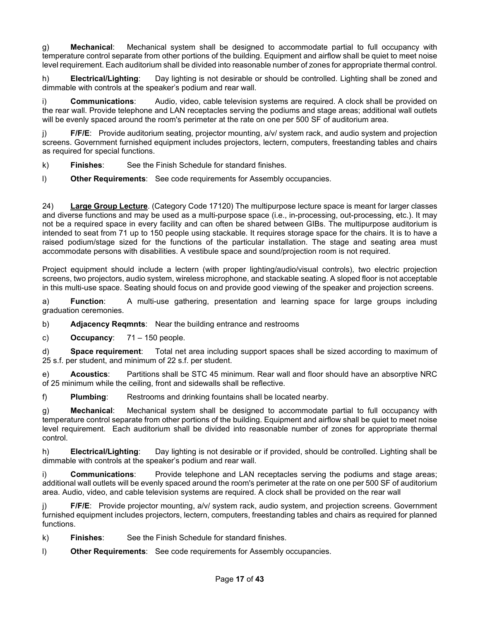g) **Mechanical**: Mechanical system shall be designed to accommodate partial to full occupancy with temperature control separate from other portions of the building. Equipment and airflow shall be quiet to meet noise level requirement. Each auditorium shall be divided into reasonable number of zones for appropriate thermal control.

h) **Electrical/Lighting**: Day lighting is not desirable or should be controlled. Lighting shall be zoned and dimmable with controls at the speaker's podium and rear wall.

i) **Communications**: Audio, video, cable television systems are required. A clock shall be provided on the rear wall. Provide telephone and LAN receptacles serving the podiums and stage areas; additional wall outlets will be evenly spaced around the room's perimeter at the rate on one per 500 SF of auditorium area.

j) **F/F/E**: Provide auditorium seating, projector mounting, a/v/ system rack, and audio system and projection screens. Government furnished equipment includes projectors, lectern, computers, freestanding tables and chairs as required for special functions.

- k) **Finishes**: See the Finish Schedule for standard finishes.
- l) **Other Requirements**: See code requirements for Assembly occupancies.

24) **Large Group Lecture**. (Category Code 17120) The multipurpose lecture space is meant for larger classes and diverse functions and may be used as a multi-purpose space (i.e., in-processing, out-processing, etc.). It may not be a required space in every facility and can often be shared between GIBs. The multipurpose auditorium is intended to seat from 71 up to 150 people using stackable. It requires storage space for the chairs. It is to have a raised podium/stage sized for the functions of the particular installation. The stage and seating area must accommodate persons with disabilities. A vestibule space and sound/projection room is not required.

Project equipment should include a lectern (with proper lighting/audio/visual controls), two electric projection screens, two projectors, audio system, wireless microphone, and stackable seating. A sloped floor is not acceptable in this multi-use space. Seating should focus on and provide good viewing of the speaker and projection screens.

a) **Function**: A multi-use gathering, presentation and learning space for large groups including graduation ceremonies.

b) **Adjacency Reqmnts**: Near the building entrance and restrooms

c) **Occupancy**: 71 – 150 people.

d) **Space requirement**: Total net area including support spaces shall be sized according to maximum of 25 s.f. per student, and minimum of 22 s.f. per student.

e) **Acoustics**: Partitions shall be STC 45 minimum. Rear wall and floor should have an absorptive NRC of 25 minimum while the ceiling, front and sidewalls shall be reflective.

f) **Plumbing**: Restrooms and drinking fountains shall be located nearby.

g) **Mechanical**: Mechanical system shall be designed to accommodate partial to full occupancy with temperature control separate from other portions of the building. Equipment and airflow shall be quiet to meet noise level requirement. Each auditorium shall be divided into reasonable number of zones for appropriate thermal control.

h) **Electrical/Lighting**: Day lighting is not desirable or if provided, should be controlled. Lighting shall be dimmable with controls at the speaker's podium and rear wall.

i) **Communications**: Provide telephone and LAN receptacles serving the podiums and stage areas; additional wall outlets will be evenly spaced around the room's perimeter at the rate on one per 500 SF of auditorium area. Audio, video, and cable television systems are required. A clock shall be provided on the rear wall

**F/F/E:** Provide projector mounting, a/v/ system rack, audio system, and projection screens. Government furnished equipment includes projectors, lectern, computers, freestanding tables and chairs as required for planned functions.

k) **Finishes**: See the Finish Schedule for standard finishes.

l) **Other Requirements**: See code requirements for Assembly occupancies.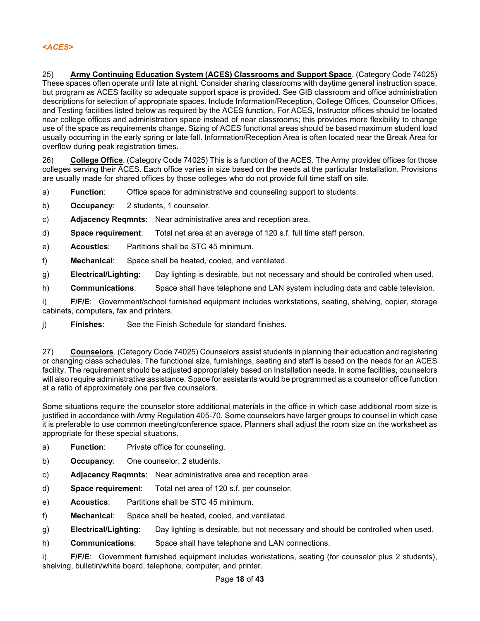25) **Army Continuing Education System (ACES) Classrooms and Support Space**. (Category Code 74025) These spaces often operate until late at night. Consider sharing classrooms with daytime general instruction space, but program as ACES facility so adequate support space is provided. See GIB classroom and office administration descriptions for selection of appropriate spaces. Include Information/Reception, College Offices, Counselor Offices, and Testing facilities listed below as required by the ACES function. For ACES, Instructor offices should be located near college offices and administration space instead of near classrooms; this provides more flexibility to change use of the space as requirements change. Sizing of ACES functional areas should be based maximum student load usually occurring in the early spring or late fall. Information/Reception Area is often located near the Break Area for overflow during peak registration times.

26) **College Office**. (Category Code 74025) This is a function of the ACES. The Army provides offices for those colleges serving their ACES. Each office varies in size based on the needs at the particular Installation. Provisions are usually made for shared offices by those colleges who do not provide full time staff on site.

- a) **Function**: Office space for administrative and counseling support to students.
- b) **Occupancy**: 2 students, 1 counselor.
- c) **Adjacency Reqmnts:** Near administrative area and reception area.
- d) **Space requirement**: Total net area at an average of 120 s.f. full time staff person.
- e) **Acoustics**: Partitions shall be STC 45 minimum.
- f) **Mechanical**: Space shall be heated, cooled, and ventilated.
- g) **Electrical/Lighting**: Day lighting is desirable, but not necessary and should be controlled when used.
- h) **Communications**: Space shall have telephone and LAN system including data and cable television.

i) **F/F/E**: Government/school furnished equipment includes workstations, seating, shelving, copier, storage cabinets, computers, fax and printers.

j) **Finishes**: See the Finish Schedule for standard finishes.

27) **Counselors**. (Category Code 74025) Counselors assist students in planning their education and registering or changing class schedules. The functional size, furnishings, seating and staff is based on the needs for an ACES facility. The requirement should be adjusted appropriately based on Installation needs. In some facilities, counselors will also require administrative assistance. Space for assistants would be programmed as a counselor office function at a ratio of approximately one per five counselors.

Some situations require the counselor store additional materials in the office in which case additional room size is justified in accordance with Army Regulation 405-70. Some counselors have larger groups to counsel in which case it is preferable to use common meeting/conference space. Planners shall adjust the room size on the worksheet as appropriate for these special situations.

- a) **Function**: Private office for counseling.
- b) **Occupancy**: One counselor, 2 students.
- c) **Adjacency Reqmnts**: Near administrative area and reception area.
- d) **Space requiremen**t: Total net area of 120 s.f. per counselor.
- e) **Acoustics**: Partitions shall be STC 45 minimum.
- f) **Mechanical**: Space shall be heated, cooled, and ventilated.
- g) **Electrical/Lighting**: Day lighting is desirable, but not necessary and should be controlled when used.
- h) **Communications**: Space shall have telephone and LAN connections.

i) **F/F/E**: Government furnished equipment includes workstations, seating (for counselor plus 2 students), shelving, bulletin/white board, telephone, computer, and printer.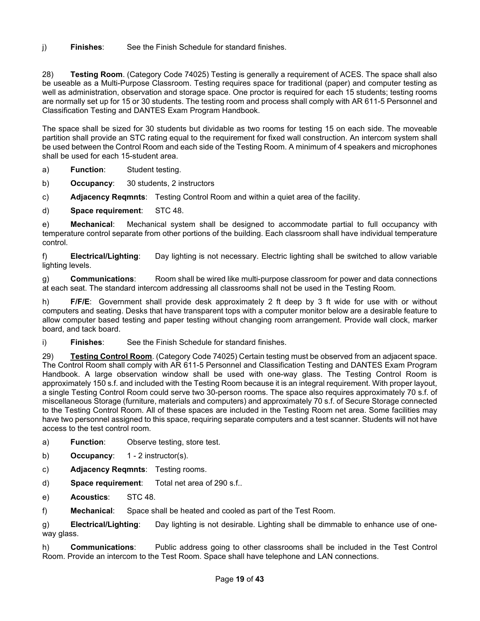j) **Finishes**: See the Finish Schedule for standard finishes.

28) **Testing Room**. (Category Code 74025) Testing is generally a requirement of ACES. The space shall also be useable as a Multi-Purpose Classroom. Testing requires space for traditional (paper) and computer testing as well as administration, observation and storage space. One proctor is required for each 15 students; testing rooms are normally set up for 15 or 30 students. The testing room and process shall comply with AR 611-5 Personnel and Classification Testing and DANTES Exam Program Handbook.

The space shall be sized for 30 students but dividable as two rooms for testing 15 on each side. The moveable partition shall provide an STC rating equal to the requirement for fixed wall construction. An intercom system shall be used between the Control Room and each side of the Testing Room. A minimum of 4 speakers and microphones shall be used for each 15-student area.

a) **Function**: Student testing.

b) **Occupancy**: 30 students, 2 instructors

c) **Adjacency Reqmnts**: Testing Control Room and within a quiet area of the facility.

d) **Space requirement**: STC 48.

e) **Mechanical**: Mechanical system shall be designed to accommodate partial to full occupancy with temperature control separate from other portions of the building. Each classroom shall have individual temperature control.

f) **Electrical/Lighting**: Day lighting is not necessary. Electric lighting shall be switched to allow variable lighting levels.

g) **Communications**: Room shall be wired like multi-purpose classroom for power and data connections at each seat. The standard intercom addressing all classrooms shall not be used in the Testing Room.

h) **F/F/E**: Government shall provide desk approximately 2 ft deep by 3 ft wide for use with or without computers and seating. Desks that have transparent tops with a computer monitor below are a desirable feature to allow computer based testing and paper testing without changing room arrangement. Provide wall clock, marker board, and tack board.

i) **Finishes**: See the Finish Schedule for standard finishes.

29) **Testing Control Room**. (Category Code 74025) Certain testing must be observed from an adjacent space. The Control Room shall comply with AR 611-5 Personnel and Classification Testing and DANTES Exam Program Handbook. A large observation window shall be used with one-way glass. The Testing Control Room is approximately 150 s.f. and included with the Testing Room because it is an integral requirement. With proper layout, a single Testing Control Room could serve two 30-person rooms. The space also requires approximately 70 s.f. of miscellaneous Storage (furniture, materials and computers) and approximately 70 s.f. of Secure Storage connected to the Testing Control Room. All of these spaces are included in the Testing Room net area. Some facilities may have two personnel assigned to this space, requiring separate computers and a test scanner. Students will not have access to the test control room.

- a) **Function**: Observe testing, store test.
- b) **Occupancy**: 1 2 instructor(s).
- c) **Adjacency Reqmnts**: Testing rooms.
- d) **Space requirement**: Total net area of 290 s.f..
- e) **Acoustics**: STC 48.

f) **Mechanical**: Space shall be heated and cooled as part of the Test Room.

g) **Electrical/Lighting**: Day lighting is not desirable. Lighting shall be dimmable to enhance use of oneway glass.

h) **Communications**: Public address going to other classrooms shall be included in the Test Control Room. Provide an intercom to the Test Room. Space shall have telephone and LAN connections.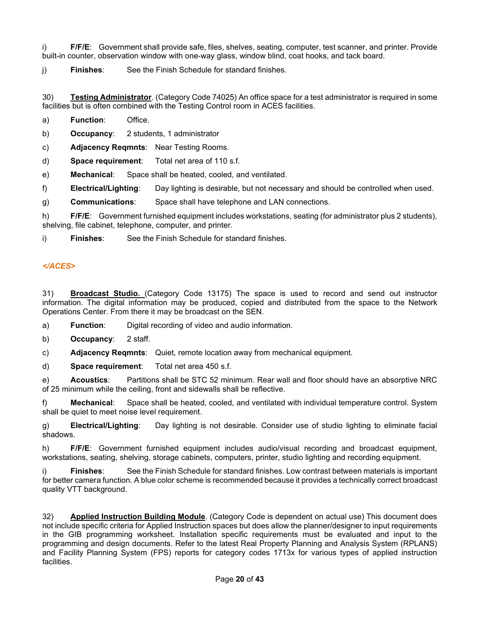i) **F/F/E**: Government shall provide safe, files, shelves, seating, computer, test scanner, and printer. Provide built-in counter, observation window with one-way glass, window blind, coat hooks, and tack board.

j) **Finishes**: See the Finish Schedule for standard finishes.

30) **Testing Administrator**. (Category Code 74025) An office space for a test administrator is required in some facilities but is often combined with the Testing Control room in ACES facilities.

a) **Function**: Office.

b) **Occupancy**: 2 students, 1 administrator

c) **Adjacency Reqmnts**: Near Testing Rooms.

d) **Space requirement**: Total net area of 110 s.f.

e) **Mechanical**: Space shall be heated, cooled, and ventilated.

f) **Electrical/Lighting**: Day lighting is desirable, but not necessary and should be controlled when used.

g) **Communications**: Space shall have telephone and LAN connections.

h) **F/F/E**: Government furnished equipment includes workstations, seating (for administrator plus 2 students), shelving, file cabinet, telephone, computer, and printer.

i) **Finishes**: See the Finish Schedule for standard finishes.

# *</ACES>*

31) **Broadcast Studio.** (Category Code 13175) The space is used to record and send out instructor information. The digital information may be produced, copied and distributed from the space to the Network Operations Center. From there it may be broadcast on the SEN.

a) **Function**: Digital recording of video and audio information.

b) **Occupancy**: 2 staff.

c) **Adjacency Reqmnts**: Quiet, remote location away from mechanical equipment.

d) **Space requirement**: Total net area 450 s.f.

e) **Acoustics**: Partitions shall be STC 52 minimum. Rear wall and floor should have an absorptive NRC of 25 minimum while the ceiling, front and sidewalls shall be reflective.

f) **Mechanical**: Space shall be heated, cooled, and ventilated with individual temperature control. System shall be quiet to meet noise level requirement.

g) **Electrical/Lighting**: Day lighting is not desirable. Consider use of studio lighting to eliminate facial shadows.

h) **F/F/E**: Government furnished equipment includes audio/visual recording and broadcast equipment, workstations, seating, shelving, storage cabinets, computers, printer, studio lighting and recording equipment.

i) **Finishes**: See the Finish Schedule for standard finishes. Low contrast between materials is important for better camera function. A blue color scheme is recommended because it provides a technically correct broadcast quality VTT background.

32) **Applied Instruction Building Module**. (Category Code is dependent on actual use) This document does not include specific criteria for Applied Instruction spaces but does allow the planner/designer to input requirements in the GIB programming worksheet. Installation specific requirements must be evaluated and input to the programming and design documents. Refer to the latest Real Property Planning and Analysis System (RPLANS) and Facility Planning System (FPS) reports for category codes 1713x for various types of applied instruction facilities.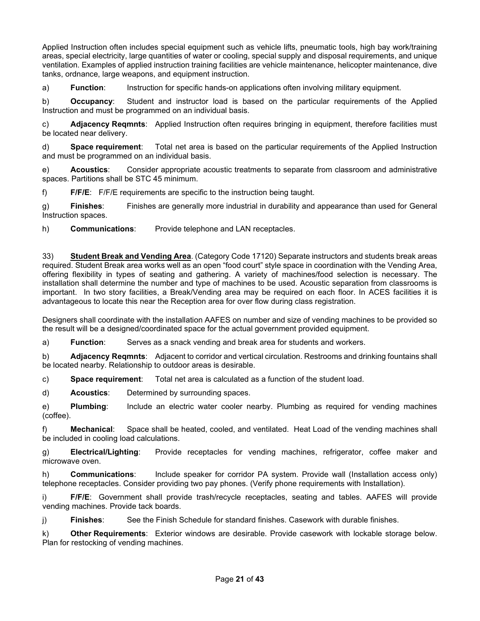Applied Instruction often includes special equipment such as vehicle lifts, pneumatic tools, high bay work/training areas, special electricity, large quantities of water or cooling, special supply and disposal requirements, and unique ventilation. Examples of applied instruction training facilities are vehicle maintenance, helicopter maintenance, dive tanks, ordnance, large weapons, and equipment instruction.

a) **Function**: Instruction for specific hands-on applications often involving military equipment.

b) **Occupancy**: Student and instructor load is based on the particular requirements of the Applied Instruction and must be programmed on an individual basis.

c) **Adjacency Reqmnts**: Applied Instruction often requires bringing in equipment, therefore facilities must be located near delivery.

d) **Space requirement**: Total net area is based on the particular requirements of the Applied Instruction and must be programmed on an individual basis.

e) **Acoustics**: Consider appropriate acoustic treatments to separate from classroom and administrative spaces. Partitions shall be STC 45 minimum.

f) **F/F/E**: F/F/E requirements are specific to the instruction being taught.

g) **Finishes**: Finishes are generally more industrial in durability and appearance than used for General Instruction spaces.

h) **Communications**: Provide telephone and LAN receptacles.

33) **Student Break and Vending Area**. (Category Code 17120) Separate instructors and students break areas required. Student Break area works well as an open "food court" style space in coordination with the Vending Area, offering flexibility in types of seating and gathering. A variety of machines/food selection is necessary. The installation shall determine the number and type of machines to be used. Acoustic separation from classrooms is important. In two story facilities, a Break/Vending area may be required on each floor. In ACES facilities it is advantageous to locate this near the Reception area for over flow during class registration.

Designers shall coordinate with the installation AAFES on number and size of vending machines to be provided so the result will be a designed/coordinated space for the actual government provided equipment.

a) **Function**: Serves as a snack vending and break area for students and workers.

b) **Adjacency Reqmnts**: Adjacent to corridor and vertical circulation. Restrooms and drinking fountains shall be located nearby. Relationship to outdoor areas is desirable.

c) **Space requirement**: Total net area is calculated as a function of the student load.

d) **Acoustics**: Determined by surrounding spaces.

e) **Plumbing**: Include an electric water cooler nearby. Plumbing as required for vending machines (coffee).

f) **Mechanical**: Space shall be heated, cooled, and ventilated. Heat Load of the vending machines shall be included in cooling load calculations.

g) **Electrical/Lighting**: Provide receptacles for vending machines, refrigerator, coffee maker and microwave oven.

h) **Communications**: Include speaker for corridor PA system. Provide wall (Installation access only) telephone receptacles. Consider providing two pay phones. (Verify phone requirements with Installation).

i) **F/F/E**: Government shall provide trash/recycle receptacles, seating and tables. AAFES will provide vending machines. Provide tack boards.

j) **Finishes**: See the Finish Schedule for standard finishes. Casework with durable finishes.

k) **Other Requirements**: Exterior windows are desirable. Provide casework with lockable storage below. Plan for restocking of vending machines.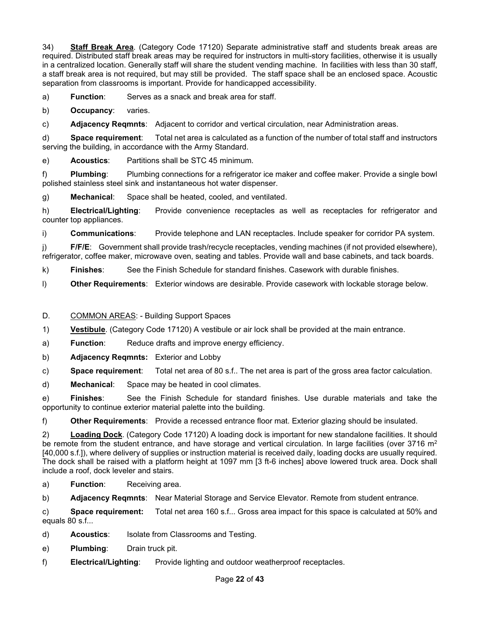34) **Staff Break Area**. (Category Code 17120) Separate administrative staff and students break areas are required. Distributed staff break areas may be required for instructors in multi-story facilities, otherwise it is usually in a centralized location. Generally staff will share the student vending machine. In facilities with less than 30 staff, a staff break area is not required, but may still be provided. The staff space shall be an enclosed space. Acoustic separation from classrooms is important. Provide for handicapped accessibility.

a) **Function**: Serves as a snack and break area for staff.

b) **Occupancy**: varies.

c) **Adjacency Reqmnts**: Adjacent to corridor and vertical circulation, near Administration areas.

d) **Space requirement**: Total net area is calculated as a function of the number of total staff and instructors serving the building, in accordance with the Army Standard.

e) **Acoustics**: Partitions shall be STC 45 minimum.

f) **Plumbing**: Plumbing connections for a refrigerator ice maker and coffee maker. Provide a single bowl polished stainless steel sink and instantaneous hot water dispenser.

g) **Mechanical**: Space shall be heated, cooled, and ventilated.

h) **Electrical/Lighting**: Provide convenience receptacles as well as receptacles for refrigerator and counter top appliances.

i) **Communications**: Provide telephone and LAN receptacles. Include speaker for corridor PA system.

j) **F/F/E**: Government shall provide trash/recycle receptacles, vending machines (if not provided elsewhere), refrigerator, coffee maker, microwave oven, seating and tables. Provide wall and base cabinets, and tack boards.

k) **Finishes**: See the Finish Schedule for standard finishes. Casework with durable finishes.

l) **Other Requirements**: Exterior windows are desirable. Provide casework with lockable storage below.

## D. COMMON AREAS: - Building Support Spaces

1) **Vestibule**. (Category Code 17120) A vestibule or air lock shall be provided at the main entrance.

a) **Function**: Reduce drafts and improve energy efficiency.

b) **Adjacency Reqmnts:** Exterior and Lobby

c) **Space requirement**: Total net area of 80 s.f.. The net area is part of the gross area factor calculation.

d) **Mechanical**: Space may be heated in cool climates.

e) **Finishes**: See the Finish Schedule for standard finishes. Use durable materials and take the opportunity to continue exterior material palette into the building.

f) **Other Requirements**: Provide a recessed entrance floor mat. Exterior glazing should be insulated.

2) **Loading Dock**. (Category Code 17120) A loading dock is important for new standalone facilities. It should be remote from the student entrance, and have storage and vertical circulation. In large facilities (over 3716 m<sup>2</sup> [40,000 s.f.]), where delivery of supplies or instruction material is received daily, loading docks are usually required. The dock shall be raised with a platform height at 1097 mm [3 ft-6 inches] above lowered truck area. Dock shall include a roof, dock leveler and stairs.

a) **Function**: Receiving area.

b) **Adjacency Reqmnts**: Near Material Storage and Service Elevator. Remote from student entrance.

c) **Space requirement:** Total net area 160 s.f... Gross area impact for this space is calculated at 50% and equals 80 s.f...

- d) **Acoustics**: Isolate from Classrooms and Testing.
- e) **Plumbing**: Drain truck pit.
- f) **Electrical/Lighting**: Provide lighting and outdoor weatherproof receptacles.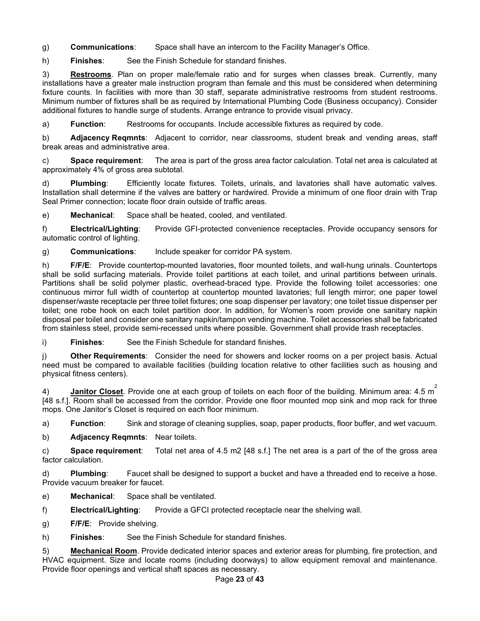g) **Communications**: Space shall have an intercom to the Facility Manager's Office.

h) **Finishes**: See the Finish Schedule for standard finishes.

3) **Restrooms**. Plan on proper male/female ratio and for surges when classes break. Currently, many installations have a greater male instruction program than female and this must be considered when determining fixture counts. In facilities with more than 30 staff, separate administrative restrooms from student restrooms. Minimum number of fixtures shall be as required by International Plumbing Code (Business occupancy). Consider additional fixtures to handle surge of students. Arrange entrance to provide visual privacy.

a) **Function**: Restrooms for occupants. Include accessible fixtures as required by code.

b) **Adjacency Reqmnts**: Adjacent to corridor, near classrooms, student break and vending areas, staff break areas and administrative area.

c) **Space requirement**: The area is part of the gross area factor calculation. Total net area is calculated at approximately 4% of gross area subtotal.

d) **Plumbing**: Efficiently locate fixtures. Toilets, urinals, and lavatories shall have automatic valves. Installation shall determine if the valves are battery or hardwired. Provide a minimum of one floor drain with Trap Seal Primer connection; locate floor drain outside of traffic areas.

e) **Mechanical**: Space shall be heated, cooled, and ventilated.

f) **Electrical/Lighting**: Provide GFI-protected convenience receptacles. Provide occupancy sensors for automatic control of lighting.

g) **Communications**: Include speaker for corridor PA system.

h) **F/F/E**: Provide countertop-mounted lavatories, floor mounted toilets, and wall-hung urinals. Countertops shall be solid surfacing materials. Provide toilet partitions at each toilet, and urinal partitions between urinals. Partitions shall be solid polymer plastic, overhead-braced type. Provide the following toilet accessories: one continuous mirror full width of countertop at countertop mounted lavatories; full length mirror; one paper towel dispenser/waste receptacle per three toilet fixtures; one soap dispenser per lavatory; one toilet tissue dispenser per toilet; one robe hook on each toilet partition door. In addition, for Women's room provide one sanitary napkin disposal per toilet and consider one sanitary napkin/tampon vending machine. Toilet accessories shall be fabricated from stainless steel, provide semi-recessed units where possible. Government shall provide trash receptacles.

i) **Finishes**: See the Finish Schedule for standard finishes.

j) **Other Requirements**: Consider the need for showers and locker rooms on a per project basis. Actual need must be compared to available facilities (building location relative to other facilities such as housing and physical fitness centers).

4) **Janitor Closet**. Provide one at each group of toilets on each floor of the building. Minimum area: 4.5 m 2 [48 s.f.]. Room shall be accessed from the corridor. Provide one floor mounted mop sink and mop rack for three mops. One Janitor's Closet is required on each floor minimum.

a) **Function**: Sink and storage of cleaning supplies, soap, paper products, floor buffer, and wet vacuum.

b) **Adjacency Reqmnts**: Near toilets.

c) **Space requirement**: Total net area of 4.5 m2 [48 s.f.] The net area is a part of the of the gross area factor calculation.

d) **Plumbing**: Faucet shall be designed to support a bucket and have a threaded end to receive a hose. Provide vacuum breaker for faucet.

e) **Mechanical**: Space shall be ventilated.

f) **Electrical/Lighting**: Provide a GFCI protected receptacle near the shelving wall.

g) **F/F/E**: Provide shelving.

h) **Finishes**: See the Finish Schedule for standard finishes.

5) **Mechanical Room**. Provide dedicated interior spaces and exterior areas for plumbing, fire protection, and HVAC equipment. Size and locate rooms (including doorways) to allow equipment removal and maintenance. Provide floor openings and vertical shaft spaces as necessary.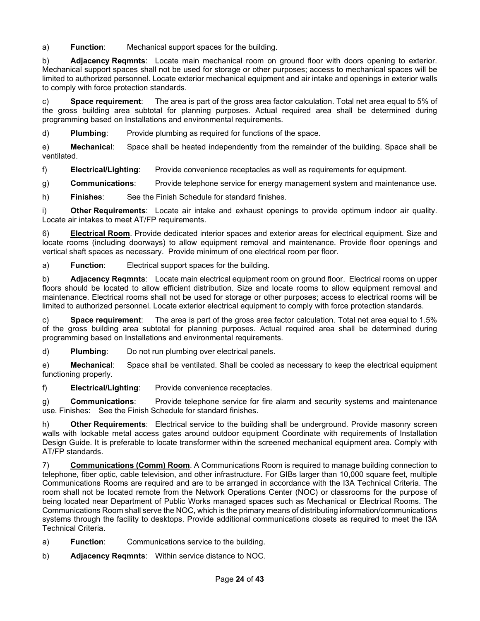a) **Function**: Mechanical support spaces for the building.

b) **Adjacency Reqmnts**: Locate main mechanical room on ground floor with doors opening to exterior. Mechanical support spaces shall not be used for storage or other purposes; access to mechanical spaces will be limited to authorized personnel. Locate exterior mechanical equipment and air intake and openings in exterior walls to comply with force protection standards.

c) **Space requirement**: The area is part of the gross area factor calculation. Total net area equal to 5% of the gross building area subtotal for planning purposes. Actual required area shall be determined during programming based on Installations and environmental requirements.

d) **Plumbing**: Provide plumbing as required for functions of the space.

e) **Mechanical**: Space shall be heated independently from the remainder of the building. Space shall be ventilated.

f) **Electrical/Lighting**: Provide convenience receptacles as well as requirements for equipment.

g) **Communications**: Provide telephone service for energy management system and maintenance use.

h) **Finishes**: See the Finish Schedule for standard finishes.

**Other Requirements**: Locate air intake and exhaust openings to provide optimum indoor air quality. Locate air intakes to meet AT/FP requirements.

6) **Electrical Room**. Provide dedicated interior spaces and exterior areas for electrical equipment. Size and locate rooms (including doorways) to allow equipment removal and maintenance. Provide floor openings and vertical shaft spaces as necessary. Provide minimum of one electrical room per floor.

a) **Function**: Electrical support spaces for the building.

b) **Adjacency Reqmnts**: Locate main electrical equipment room on ground floor. Electrical rooms on upper floors should be located to allow efficient distribution. Size and locate rooms to allow equipment removal and maintenance. Electrical rooms shall not be used for storage or other purposes; access to electrical rooms will be limited to authorized personnel. Locate exterior electrical equipment to comply with force protection standards.

c) **Space requirement**: The area is part of the gross area factor calculation. Total net area equal to 1.5% of the gross building area subtotal for planning purposes. Actual required area shall be determined during programming based on Installations and environmental requirements.

d) **Plumbing**: Do not run plumbing over electrical panels.

e) **Mechanical**: Space shall be ventilated. Shall be cooled as necessary to keep the electrical equipment functioning properly.

f) **Electrical/Lighting**: Provide convenience receptacles.

g) **Communications**: Provide telephone service for fire alarm and security systems and maintenance use. Finishes: See the Finish Schedule for standard finishes.

h) **Other Requirements**: Electrical service to the building shall be underground. Provide masonry screen walls with lockable metal access gates around outdoor equipment Coordinate with requirements of Installation Design Guide. It is preferable to locate transformer within the screened mechanical equipment area. Comply with AT/FP standards.

7) **Communications (Comm) Room**. A Communications Room is required to manage building connection to telephone, fiber optic, cable television, and other infrastructure. For GIBs larger than 10,000 square feet, multiple Communications Rooms are required and are to be arranged in accordance with the I3A Technical Criteria. The room shall not be located remote from the Network Operations Center (NOC) or classrooms for the purpose of being located near Department of Public Works managed spaces such as Mechanical or Electrical Rooms. The Communications Room shall serve the NOC, which is the primary means of distributing information/communications systems through the facility to desktops. Provide additional communications closets as required to meet the I3A Technical Criteria.

- a) **Function**: Communications service to the building.
- b) **Adjacency Reqmnts**: Within service distance to NOC.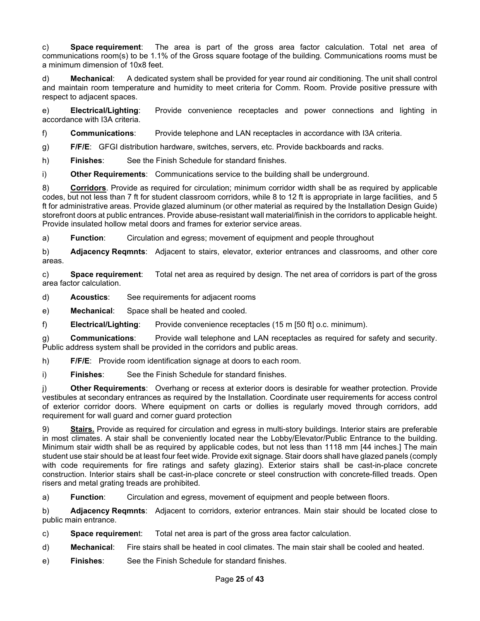c) **Space requirement**: The area is part of the gross area factor calculation. Total net area of communications room(s) to be 1.1% of the Gross square footage of the building. Communications rooms must be a minimum dimension of 10x8 feet.

d) **Mechanical**: A dedicated system shall be provided for year round air conditioning. The unit shall control and maintain room temperature and humidity to meet criteria for Comm. Room. Provide positive pressure with respect to adjacent spaces.

e) **Electrical/Lighting**: Provide convenience receptacles and power connections and lighting in accordance with I3A criteria.

f) **Communications**: Provide telephone and LAN receptacles in accordance with I3A criteria.

g) **F/F/E**: GFGI distribution hardware, switches, servers, etc. Provide backboards and racks.

h) **Finishes**: See the Finish Schedule for standard finishes.

i) **Other Requirements**: Communications service to the building shall be underground.

8) **Corridors**. Provide as required for circulation; minimum corridor width shall be as required by applicable codes, but not less than 7 ft for student classroom corridors, while 8 to 12 ft is appropriate in large facilities, and 5 ft for administrative areas. Provide glazed aluminum (or other material as required by the Installation Design Guide) storefront doors at public entrances. Provide abuse-resistant wall material/finish in the corridors to applicable height. Provide insulated hollow metal doors and frames for exterior service areas.

a) **Function**: Circulation and egress; movement of equipment and people throughout

b) **Adjacency Reqmnts**: Adjacent to stairs, elevator, exterior entrances and classrooms, and other core areas.

c) **Space requirement**: Total net area as required by design. The net area of corridors is part of the gross area factor calculation.

d) **Acoustics**: See requirements for adjacent rooms

e) **Mechanical**: Space shall be heated and cooled.

f) **Electrical/Lighting**: Provide convenience receptacles (15 m [50 ft] o.c. minimum).

g) **Communications**: Provide wall telephone and LAN receptacles as required for safety and security. Public address system shall be provided in the corridors and public areas.

h) **F/F/E**: Provide room identification signage at doors to each room.

i) **Finishes**: See the Finish Schedule for standard finishes.

j) **Other Requirements**: Overhang or recess at exterior doors is desirable for weather protection. Provide vestibules at secondary entrances as required by the Installation. Coordinate user requirements for access control of exterior corridor doors. Where equipment on carts or dollies is regularly moved through corridors, add requirement for wall guard and corner guard protection

9) **Stairs.** Provide as required for circulation and egress in multi-story buildings. Interior stairs are preferable in most climates. A stair shall be conveniently located near the Lobby/Elevator/Public Entrance to the building. Minimum stair width shall be as required by applicable codes, but not less than 1118 mm [44 inches.] The main student use stair should be at least four feet wide. Provide exit signage. Stair doors shall have glazed panels (comply with code requirements for fire ratings and safety glazing). Exterior stairs shall be cast-in-place concrete construction. Interior stairs shall be cast-in-place concrete or steel construction with concrete-filled treads. Open risers and metal grating treads are prohibited.

a) **Function**: Circulation and egress, movement of equipment and people between floors.

b) **Adjacency Reqmnts**: Adjacent to corridors, exterior entrances. Main stair should be located close to public main entrance.

c) **Space requiremen**t: Total net area is part of the gross area factor calculation.

- d) **Mechanical**: Fire stairs shall be heated in cool climates. The main stair shall be cooled and heated.
- e) **Finishes**: See the Finish Schedule for standard finishes.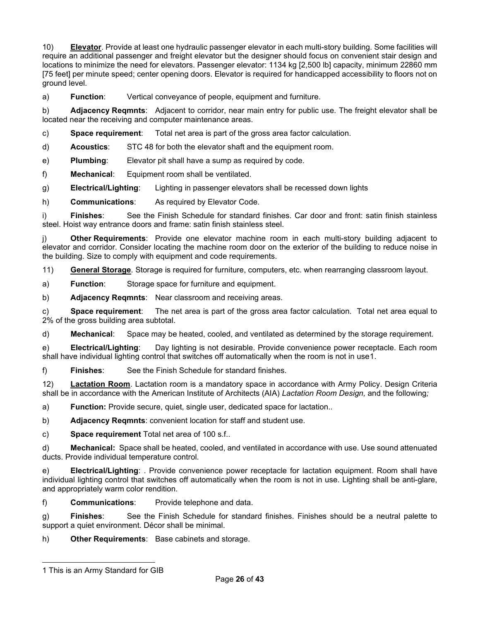10) **Elevator**. Provide at least one hydraulic passenger elevator in each multi-story building. Some facilities will require an additional passenger and freight elevator but the designer should focus on convenient stair design and locations to minimize the need for elevators. Passenger elevator: 1134 kg [2,500 lb] capacity, minimum 22860 mm [75 feet] per minute speed; center opening doors. Elevator is required for handicapped accessibility to floors not on ground level.

a) **Function**: Vertical conveyance of people, equipment and furniture.

b) **Adjacency Reqmnts**: Adjacent to corridor, near main entry for public use. The freight elevator shall be located near the receiving and computer maintenance areas.

c) **Space requirement**: Total net area is part of the gross area factor calculation.

d) **Acoustics**: STC 48 for both the elevator shaft and the equipment room.

e) **Plumbing**: Elevator pit shall have a sump as required by code.

f) **Mechanical**: Equipment room shall be ventilated.

g) **Electrical/Lighting**: Lighting in passenger elevators shall be recessed down lights

h) **Communications**: As required by Elevator Code.

i) **Finishes**: See the Finish Schedule for standard finishes. Car door and front: satin finish stainless steel. Hoist way entrance doors and frame: satin finish stainless steel.

j) **Other Requirements**: Provide one elevator machine room in each multi-story building adjacent to elevator and corridor. Consider locating the machine room door on the exterior of the building to reduce noise in the building. Size to comply with equipment and code requirements.

11) **General Storage**. Storage is required for furniture, computers, etc. when rearranging classroom layout.

a) **Function**: Storage space for furniture and equipment.

b) **Adjacency Reqmnts**: Near classroom and receiving areas.

c) **Space requirement**: The net area is part of the gross area factor calculation. Total net area equal to 2% of the gross building area subtotal.

d) **Mechanical**: Space may be heated, cooled, and ventilated as determined by the storage requirement.

e) **Electrical/Lighting**: Day lighting is not desirable. Provide convenience power receptacle. Each room shall have individual lighting control that switches off automatically when the room is not in use[1](#page-25-0).

f) **Finishes**: See the Finish Schedule for standard finishes.

12) **Lactation Room**. Lactation room is a mandatory space in accordance with Army Policy. Design Criteria shall be in accordance with the American Institute of Architects (AIA) *Lactation Room Design,* and the following*;*

a) **Function:** Provide secure, quiet, single user, dedicated space for lactation..

b) **Adjacency Reqmnts**: convenient location for staff and student use.

c) **Space requirement** Total net area of 100 s.f..

d) **Mechanical:** Space shall be heated, cooled, and ventilated in accordance with use. Use sound attenuated ducts. Provide individual temperature control.

e) **Electrical/Lighting**: . Provide convenience power receptacle for lactation equipment. Room shall have individual lighting control that switches off automatically when the room is not in use. Lighting shall be anti-glare, and appropriately warm color rendition.

f) **Communications**: Provide telephone and data.

g) **Finishes**: See the Finish Schedule for standard finishes. Finishes should be a neutral palette to support a quiet environment. Décor shall be minimal.

h) **Other Requirements**: Base cabinets and storage.

<span id="page-25-0"></span><sup>1</sup> This is an Army Standard for GIB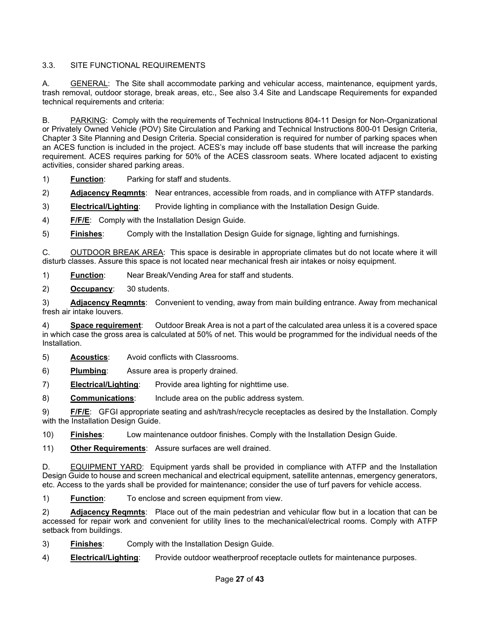## 3.3. SITE FUNCTIONAL REQUIREMENTS

A. GENERAL: The Site shall accommodate parking and vehicular access, maintenance, equipment yards, trash removal, outdoor storage, break areas, etc., See also 3.4 Site and Landscape Requirements for expanded technical requirements and criteria:

B. PARKING: Comply with the requirements of Technical Instructions 804-11 Design for Non-Organizational or Privately Owned Vehicle (POV) Site Circulation and Parking and Technical Instructions 800-01 Design Criteria, Chapter 3 Site Planning and Design Criteria. Special consideration is required for number of parking spaces when an ACES function is included in the project. ACES's may include off base students that will increase the parking requirement. ACES requires parking for 50% of the ACES classroom seats. Where located adjacent to existing activities, consider shared parking areas.

1) **Function**: Parking for staff and students.

2) **Adjacency Reqmnts**: Near entrances, accessible from roads, and in compliance with ATFP standards.

3) **Electrical/Lighting**: Provide lighting in compliance with the Installation Design Guide.

4) **F/F/E**: Comply with the Installation Design Guide.

5) **Finishes**: Comply with the Installation Design Guide for signage, lighting and furnishings.

C. OUTDOOR BREAK AREA: This space is desirable in appropriate climates but do not locate where it will disturb classes. Assure this space is not located near mechanical fresh air intakes or noisy equipment.

1) **Function**: Near Break/Vending Area for staff and students.

2) **Occupancy**: 30 students.

3) **Adjacency Reqmnts**: Convenient to vending, away from main building entrance. Away from mechanical fresh air intake louvers.

4) **Space requirement**: Outdoor Break Area is not a part of the calculated area unless it is a covered space in which case the gross area is calculated at 50% of net. This would be programmed for the individual needs of the Installation.

- 5) **Acoustics**: Avoid conflicts with Classrooms.
- 6) **Plumbing**: Assure area is properly drained.

7) **Electrical/Lighting**: Provide area lighting for nighttime use.

8) **Communications**: Include area on the public address system.

9) **F/F/E**: GFGI appropriate seating and ash/trash/recycle receptacles as desired by the Installation. Comply with the Installation Design Guide.

10) **Finishes**: Low maintenance outdoor finishes. Comply with the Installation Design Guide.

11) **Other Requirements**: Assure surfaces are well drained.

D. EQUIPMENT YARD: Equipment yards shall be provided in compliance with ATFP and the Installation Design Guide to house and screen mechanical and electrical equipment, satellite antennas, emergency generators, etc. Access to the yards shall be provided for maintenance; consider the use of turf pavers for vehicle access.

1) **Function**: To enclose and screen equipment from view.

2) **Adjacency Reqmnts**: Place out of the main pedestrian and vehicular flow but in a location that can be accessed for repair work and convenient for utility lines to the mechanical/electrical rooms. Comply with ATFP setback from buildings.

- 3) **Finishes**: Comply with the Installation Design Guide.
- 4) **Electrical/Lighting**: Provide outdoor weatherproof receptacle outlets for maintenance purposes.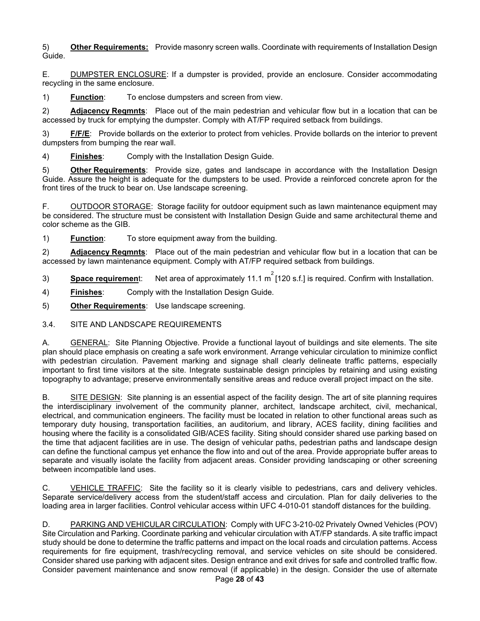5) **Other Requirements:** Provide masonry screen walls. Coordinate with requirements of Installation Design Guide.

E. DUMPSTER ENCLOSURE: If a dumpster is provided, provide an enclosure. Consider accommodating recycling in the same enclosure.

1) **Function**: To enclose dumpsters and screen from view.

2) **Adjacency Reqmnts**: Place out of the main pedestrian and vehicular flow but in a location that can be accessed by truck for emptying the dumpster. Comply with AT/FP required setback from buildings.

3) **F/F/E**: Provide bollards on the exterior to protect from vehicles. Provide bollards on the interior to prevent dumpsters from bumping the rear wall.

4) **Finishes**: Comply with the Installation Design Guide.

5) **Other Requirements**: Provide size, gates and landscape in accordance with the Installation Design Guide. Assure the height is adequate for the dumpsters to be used. Provide a reinforced concrete apron for the front tires of the truck to bear on. Use landscape screening.

F. OUTDOOR STORAGE: Storage facility for outdoor equipment such as lawn maintenance equipment may be considered. The structure must be consistent with Installation Design Guide and same architectural theme and color scheme as the GIB.

1) **Function**: To store equipment away from the building.

2) **Adjacency Reqmnts**: Place out of the main pedestrian and vehicular flow but in a location that can be accessed by lawn maintenance equipment. Comply with AT/FP required setback from buildings.

3) **Space requiremen**t: Net area of approximately 11.1 m<sup>2</sup> [120 s.f.] is required. Confirm with Installation.

4) **Finishes**: Comply with the Installation Design Guide.

5) **Other Requirements**: Use landscape screening.

3.4. SITE AND LANDSCAPE REQUIREMENTS

A. GENERAL: Site Planning Objective. Provide a functional layout of buildings and site elements. The site plan should place emphasis on creating a safe work environment. Arrange vehicular circulation to minimize conflict with pedestrian circulation. Pavement marking and signage shall clearly delineate traffic patterns, especially important to first time visitors at the site. Integrate sustainable design principles by retaining and using existing topography to advantage; preserve environmentally sensitive areas and reduce overall project impact on the site.

B. SITE DESIGN: Site planning is an essential aspect of the facility design. The art of site planning requires the interdisciplinary involvement of the community planner, architect, landscape architect, civil, mechanical, electrical, and communication engineers. The facility must be located in relation to other functional areas such as temporary duty housing, transportation facilities, an auditorium, and library, ACES facility, dining facilities and housing where the facility is a consolidated GIB/ACES facility. Siting should consider shared use parking based on the time that adjacent facilities are in use. The design of vehicular paths, pedestrian paths and landscape design can define the functional campus yet enhance the flow into and out of the area. Provide appropriate buffer areas to separate and visually isolate the facility from adjacent areas. Consider providing landscaping or other screening between incompatible land uses.

C. VEHICLE TRAFFIC: Site the facility so it is clearly visible to pedestrians, cars and delivery vehicles. Separate service/delivery access from the student/staff access and circulation. Plan for daily deliveries to the loading area in larger facilities. Control vehicular access within UFC 4-010-01 standoff distances for the building.

D. PARKING AND VEHICULAR CIRCULATION: Comply with UFC 3-210-02 Privately Owned Vehicles (POV) Site Circulation and Parking. Coordinate parking and vehicular circulation with AT/FP standards. A site traffic impact study should be done to determine the traffic patterns and impact on the local roads and circulation patterns. Access requirements for fire equipment, trash/recycling removal, and service vehicles on site should be considered. Consider shared use parking with adjacent sites. Design entrance and exit drives for safe and controlled traffic flow. Consider pavement maintenance and snow removal (if applicable) in the design. Consider the use of alternate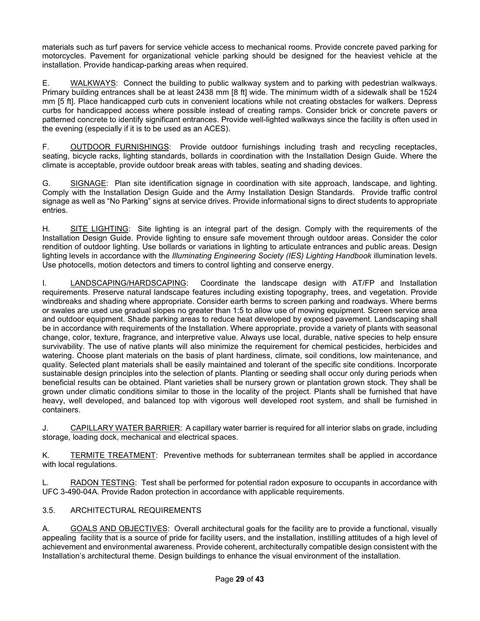materials such as turf pavers for service vehicle access to mechanical rooms. Provide concrete paved parking for motorcycles. Pavement for organizational vehicle parking should be designed for the heaviest vehicle at the installation. Provide handicap-parking areas when required.

E. WALKWAYS: Connect the building to public walkway system and to parking with pedestrian walkways. Primary building entrances shall be at least 2438 mm [8 ft] wide. The minimum width of a sidewalk shall be 1524 mm [5 ft]. Place handicapped curb cuts in convenient locations while not creating obstacles for walkers. Depress curbs for handicapped access where possible instead of creating ramps. Consider brick or concrete pavers or patterned concrete to identify significant entrances. Provide well-lighted walkways since the facility is often used in the evening (especially if it is to be used as an ACES).

F. OUTDOOR FURNISHINGS: Provide outdoor furnishings including trash and recycling receptacles, seating, bicycle racks, lighting standards, bollards in coordination with the Installation Design Guide. Where the climate is acceptable, provide outdoor break areas with tables, seating and shading devices.

G. SIGNAGE: Plan site identification signage in coordination with site approach, landscape, and lighting. Comply with the Installation Design Guide and the Army Installation Design Standards. Provide traffic control signage as well as "No Parking" signs at service drives. Provide informational signs to direct students to appropriate entries.

H. SITE LIGHTING: Site lighting is an integral part of the design. Comply with the requirements of the Installation Design Guide. Provide lighting to ensure safe movement through outdoor areas. Consider the color rendition of outdoor lighting. Use bollards or variations in lighting to articulate entrances and public areas. Design lighting levels in accordance with the *Illuminating Engineering Society (IES) Lighting Handbook* illumination levels. Use photocells, motion detectors and timers to control lighting and conserve energy.

I. LANDSCAPING/HARDSCAPING: Coordinate the landscape design with AT/FP and Installation requirements. Preserve natural landscape features including existing topography, trees, and vegetation. Provide windbreaks and shading where appropriate. Consider earth berms to screen parking and roadways. Where berms or swales are used use gradual slopes no greater than 1:5 to allow use of mowing equipment. Screen service area and outdoor equipment. Shade parking areas to reduce heat developed by exposed pavement. Landscaping shall be in accordance with requirements of the Installation. Where appropriate, provide a variety of plants with seasonal change, color, texture, fragrance, and interpretive value. Always use local, durable, native species to help ensure survivability. The use of native plants will also minimize the requirement for chemical pesticides, herbicides and watering. Choose plant materials on the basis of plant hardiness, climate, soil conditions, low maintenance, and quality. Selected plant materials shall be easily maintained and tolerant of the specific site conditions. Incorporate sustainable design principles into the selection of plants. Planting or seeding shall occur only during periods when beneficial results can be obtained. Plant varieties shall be nursery grown or plantation grown stock. They shall be grown under climatic conditions similar to those in the locality of the project. Plants shall be furnished that have heavy, well developed, and balanced top with vigorous well developed root system, and shall be furnished in containers.

J. CAPILLARY WATER BARRIER: A capillary water barrier is required for all interior slabs on grade, including storage, loading dock, mechanical and electrical spaces.

K. TERMITE TREATMENT: Preventive methods for subterranean termites shall be applied in accordance with local regulations.

L. RADON TESTING: Test shall be performed for potential radon exposure to occupants in accordance with UFC 3-490-04A. Provide Radon protection in accordance with applicable requirements.

## 3.5. ARCHITECTURAL REQUIREMENTS

A. GOALS AND OBJECTIVES: Overall architectural goals for the facility are to provide a functional, visually appealing facility that is a source of pride for facility users, and the installation, instilling attitudes of a high level of achievement and environmental awareness. Provide coherent, architecturally compatible design consistent with the Installation's architectural theme. Design buildings to enhance the visual environment of the installation.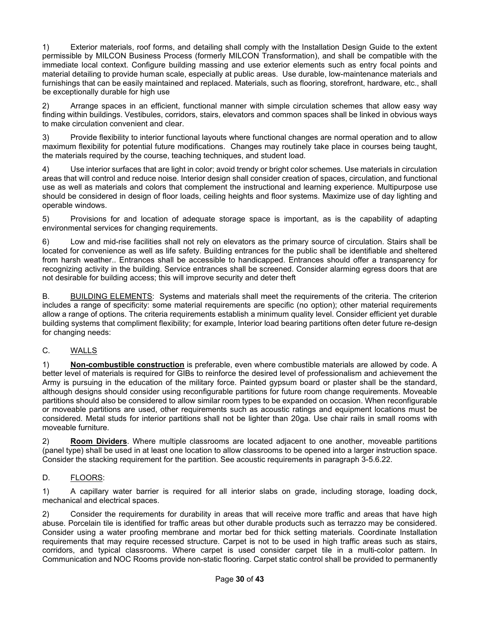1) Exterior materials, roof forms, and detailing shall comply with the Installation Design Guide to the extent permissible by MILCON Business Process (formerly MILCON Transformation), and shall be compatible with the immediate local context. Configure building massing and use exterior elements such as entry focal points and material detailing to provide human scale, especially at public areas. Use durable, low-maintenance materials and furnishings that can be easily maintained and replaced. Materials, such as flooring, storefront, hardware, etc., shall be exceptionally durable for high use

2) Arrange spaces in an efficient, functional manner with simple circulation schemes that allow easy way finding within buildings. Vestibules, corridors, stairs, elevators and common spaces shall be linked in obvious ways to make circulation convenient and clear.

3) Provide flexibility to interior functional layouts where functional changes are normal operation and to allow maximum flexibility for potential future modifications. Changes may routinely take place in courses being taught, the materials required by the course, teaching techniques, and student load.

4) Use interior surfaces that are light in color; avoid trendy or bright color schemes. Use materials in circulation areas that will control and reduce noise. Interior design shall consider creation of spaces, circulation, and functional use as well as materials and colors that complement the instructional and learning experience. Multipurpose use should be considered in design of floor loads, ceiling heights and floor systems. Maximize use of day lighting and operable windows.

5) Provisions for and location of adequate storage space is important, as is the capability of adapting environmental services for changing requirements.

6) Low and mid-rise facilities shall not rely on elevators as the primary source of circulation. Stairs shall be located for convenience as well as life safety. Building entrances for the public shall be identifiable and sheltered from harsh weather.. Entrances shall be accessible to handicapped. Entrances should offer a transparency for recognizing activity in the building. Service entrances shall be screened. Consider alarming egress doors that are not desirable for building access; this will improve security and deter theft

B. BUILDING ELEMENTS: Systems and materials shall meet the requirements of the criteria. The criterion includes a range of specificity: some material requirements are specific (no option); other material requirements allow a range of options. The criteria requirements establish a minimum quality level. Consider efficient yet durable building systems that compliment flexibility; for example, Interior load bearing partitions often deter future re-design for changing needs:

#### C. WALLS

1) **Non-combustible construction** is preferable, even where combustible materials are allowed by code. A better level of materials is required for GIBs to reinforce the desired level of professionalism and achievement the Army is pursuing in the education of the military force. Painted gypsum board or plaster shall be the standard, although designs should consider using reconfigurable partitions for future room change requirements. Moveable partitions should also be considered to allow similar room types to be expanded on occasion. When reconfigurable or moveable partitions are used, other requirements such as acoustic ratings and equipment locations must be considered. Metal studs for interior partitions shall not be lighter than 20ga. Use chair rails in small rooms with moveable furniture.

2) **Room Dividers**. Where multiple classrooms are located adjacent to one another, moveable partitions (panel type) shall be used in at least one location to allow classrooms to be opened into a larger instruction space. Consider the stacking requirement for the partition. See acoustic requirements in paragraph 3-5.6.22.

#### D. FLOORS:

1) A capillary water barrier is required for all interior slabs on grade, including storage, loading dock, mechanical and electrical spaces.

2) Consider the requirements for durability in areas that will receive more traffic and areas that have high abuse. Porcelain tile is identified for traffic areas but other durable products such as terrazzo may be considered. Consider using a water proofing membrane and mortar bed for thick setting materials. Coordinate Installation requirements that may require recessed structure. Carpet is not to be used in high traffic areas such as stairs, corridors, and typical classrooms. Where carpet is used consider carpet tile in a multi-color pattern. In Communication and NOC Rooms provide non-static flooring. Carpet static control shall be provided to permanently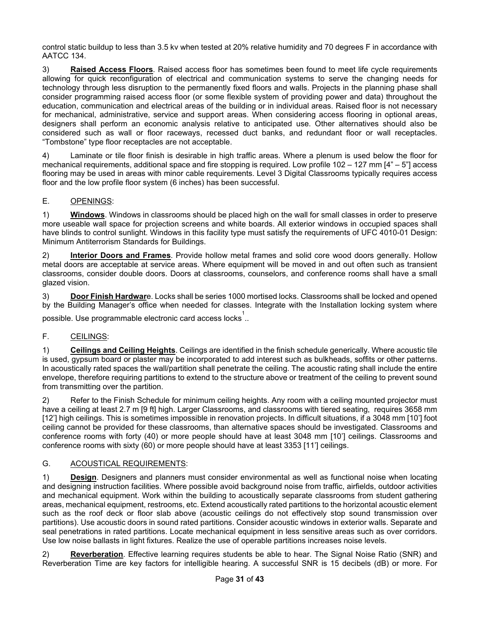control static buildup to less than 3.5 kv when tested at 20% relative humidity and 70 degrees F in accordance with AATCC 134.

3) **Raised Access Floors**. Raised access floor has sometimes been found to meet life cycle requirements allowing for quick reconfiguration of electrical and communication systems to serve the changing needs for technology through less disruption to the permanently fixed floors and walls. Projects in the planning phase shall consider programming raised access floor (or some flexible system of providing power and data) throughout the education, communication and electrical areas of the building or in individual areas. Raised floor is not necessary for mechanical, administrative, service and support areas. When considering access flooring in optional areas, designers shall perform an economic analysis relative to anticipated use. Other alternatives should also be considered such as wall or floor raceways, recessed duct banks, and redundant floor or wall receptacles. "Tombstone" type floor receptacles are not acceptable.

4) Laminate or tile floor finish is desirable in high traffic areas. Where a plenum is used below the floor for mechanical requirements, additional space and fire stopping is required. Low profile 102 – 127 mm [4" – 5"] access flooring may be used in areas with minor cable requirements. Level 3 Digital Classrooms typically requires access floor and the low profile floor system (6 inches) has been successful.

## E. OPENINGS:

1) **Windows**. Windows in classrooms should be placed high on the wall for small classes in order to preserve more useable wall space for projection screens and white boards. All exterior windows in occupied spaces shall have blinds to control sunlight. Windows in this facility type must satisfy the requirements of UFC 4010-01 Design: Minimum Antiterrorism Standards for Buildings.

2) **Interior Doors and Frames**. Provide hollow metal frames and solid core wood doors generally. Hollow metal doors are acceptable at service areas. Where equipment will be moved in and out often such as transient classrooms, consider double doors. Doors at classrooms, counselors, and conference rooms shall have a small glazed vision.

3) **Door Finish Hardwar**e. Locks shall be series 1000 mortised locks. Classrooms shall be locked and opened by the Building Manager's office when needed for classes. Integrate with the Installation locking system where possible. Use programmable electronic card access locks  $\stackrel{1}{\ldots}$ 

#### F. CEILINGS:

1) **Ceilings and Ceiling Heights**. Ceilings are identified in the finish schedule generically. Where acoustic tile is used, gypsum board or plaster may be incorporated to add interest such as bulkheads, soffits or other patterns. In acoustically rated spaces the wall/partition shall penetrate the ceiling. The acoustic rating shall include the entire envelope, therefore requiring partitions to extend to the structure above or treatment of the ceiling to prevent sound from transmitting over the partition.

2) Refer to the Finish Schedule for minimum ceiling heights. Any room with a ceiling mounted projector must have a ceiling at least 2.7 m [9 ft] high. Larger Classrooms, and classrooms with tiered seating, requires 3658 mm [12'] high ceilings. This is sometimes impossible in renovation projects. In difficult situations, if a 3048 mm [10'] foot ceiling cannot be provided for these classrooms, than alternative spaces should be investigated. Classrooms and conference rooms with forty (40) or more people should have at least 3048 mm [10'] ceilings. Classrooms and conference rooms with sixty (60) or more people should have at least 3353 [11'] ceilings.

## G. ACOUSTICAL REQUIREMENTS:

1) **Design**. Designers and planners must consider environmental as well as functional noise when locating and designing instruction facilities. Where possible avoid background noise from traffic, airfields, outdoor activities and mechanical equipment. Work within the building to acoustically separate classrooms from student gathering areas, mechanical equipment, restrooms, etc. Extend acoustically rated partitions to the horizontal acoustic element such as the roof deck or floor slab above (acoustic ceilings do not effectively stop sound transmission over partitions). Use acoustic doors in sound rated partitions. Consider acoustic windows in exterior walls. Separate and seal penetrations in rated partitions. Locate mechanical equipment in less sensitive areas such as over corridors. Use low noise ballasts in light fixtures. Realize the use of operable partitions increases noise levels.

2) **Reverberation**. Effective learning requires students be able to hear. The Signal Noise Ratio (SNR) and Reverberation Time are key factors for intelligible hearing. A successful SNR is 15 decibels (dB) or more. For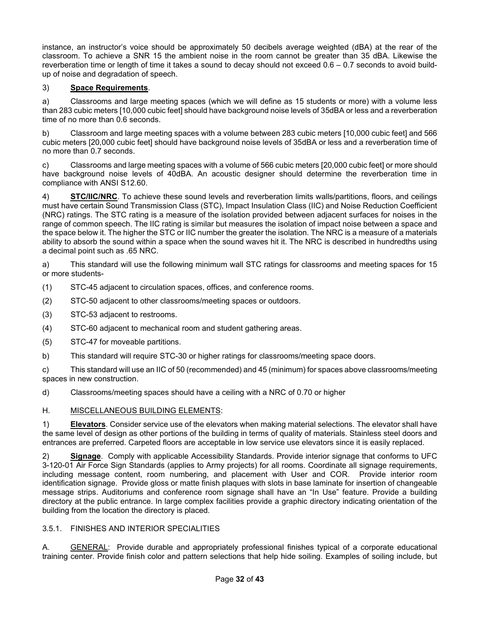instance, an instructor's voice should be approximately 50 decibels average weighted (dBA) at the rear of the classroom. To achieve a SNR 15 the ambient noise in the room cannot be greater than 35 dBA. Likewise the reverberation time or length of time it takes a sound to decay should not exceed 0.6 – 0.7 seconds to avoid buildup of noise and degradation of speech.

### 3) **Space Requirements**.

a) Classrooms and large meeting spaces (which we will define as 15 students or more) with a volume less than 283 cubic meters [10,000 cubic feet] should have background noise levels of 35dBA or less and a reverberation time of no more than 0.6 seconds.

b) Classroom and large meeting spaces with a volume between 283 cubic meters [10,000 cubic feet] and 566 cubic meters [20,000 cubic feet] should have background noise levels of 35dBA or less and a reverberation time of no more than 0.7 seconds.

c) Classrooms and large meeting spaces with a volume of 566 cubic meters [20,000 cubic feet] or more should have background noise levels of 40dBA. An acoustic designer should determine the reverberation time in compliance with ANSI S12.60.

4) **STC/IIC/NRC**. To achieve these sound levels and reverberation limits walls/partitions, floors, and ceilings must have certain Sound Transmission Class (STC), Impact Insulation Class (IIC) and Noise Reduction Coefficient (NRC) ratings. The STC rating is a measure of the isolation provided between adjacent surfaces for noises in the range of common speech. The IIC rating is similar but measures the isolation of impact noise between a space and the space below it. The higher the STC or IIC number the greater the isolation. The NRC is a measure of a materials ability to absorb the sound within a space when the sound waves hit it. The NRC is described in hundredths using a decimal point such as .65 NRC.

a) This standard will use the following minimum wall STC ratings for classrooms and meeting spaces for 15 or more students-

- (1) STC-45 adjacent to circulation spaces, offices, and conference rooms.
- (2) STC-50 adjacent to other classrooms/meeting spaces or outdoors.
- (3) STC-53 adjacent to restrooms.
- (4) STC-60 adjacent to mechanical room and student gathering areas.
- (5) STC-47 for moveable partitions.
- b) This standard will require STC-30 or higher ratings for classrooms/meeting space doors.

c) This standard will use an IIC of 50 (recommended) and 45 (minimum) for spaces above classrooms/meeting spaces in new construction.

d) Classrooms/meeting spaces should have a ceiling with a NRC of 0.70 or higher

#### H. MISCELLANEOUS BUILDING ELEMENTS:

1) **Elevators**. Consider service use of the elevators when making material selections. The elevator shall have the same level of design as other portions of the building in terms of quality of materials. Stainless steel doors and entrances are preferred. Carpeted floors are acceptable in low service use elevators since it is easily replaced.

2) **Signage**. Comply with applicable Accessibility Standards. Provide interior signage that conforms to UFC 3-120-01 Air Force Sign Standards (applies to Army projects) for all rooms. Coordinate all signage requirements, including message content, room numbering, and placement with User and COR. Provide interior room identification signage. Provide gloss or matte finish plaques with slots in base laminate for insertion of changeable message strips. Auditoriums and conference room signage shall have an "In Use" feature. Provide a building directory at the public entrance. In large complex facilities provide a graphic directory indicating orientation of the building from the location the directory is placed.

#### 3.5.1. FINISHES AND INTERIOR SPECIALITIES

A. **GENERAL:** Provide durable and appropriately professional finishes typical of a corporate educational training center. Provide finish color and pattern selections that help hide soiling. Examples of soiling include, but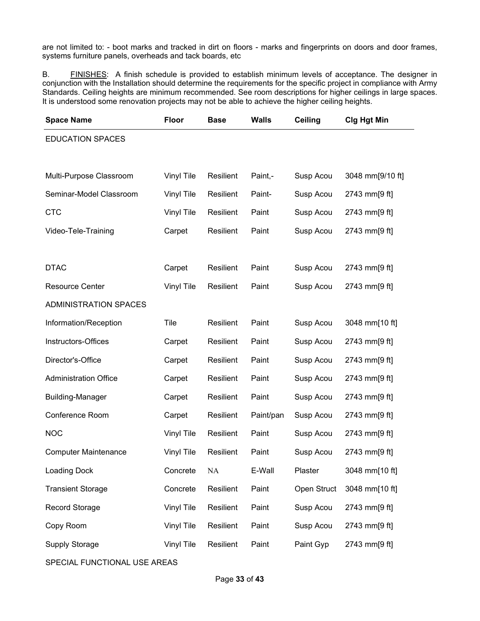are not limited to: - boot marks and tracked in dirt on floors - marks and fingerprints on doors and door frames, systems furniture panels, overheads and tack boards, etc

B. FINISHES: A finish schedule is provided to establish minimum levels of acceptance. The designer in conjunction with the Installation should determine the requirements for the specific project in compliance with Army Standards. Ceiling heights are minimum recommended. See room descriptions for higher ceilings in large spaces. It is understood some renovation projects may not be able to achieve the higher ceiling heights.

| <b>Space Name</b>            | <b>Floor</b>      | <b>Base</b> | <b>Walls</b> | <b>Ceiling</b> | <b>Clg Hgt Min</b> |
|------------------------------|-------------------|-------------|--------------|----------------|--------------------|
| <b>EDUCATION SPACES</b>      |                   |             |              |                |                    |
|                              |                   |             |              |                |                    |
| Multi-Purpose Classroom      | Vinyl Tile        | Resilient   | Paint,-      | Susp Acou      | 3048 mm[9/10 ft]   |
| Seminar-Model Classroom      | Vinyl Tile        | Resilient   | Paint-       | Susp Acou      | 2743 mm[9 ft]      |
| <b>CTC</b>                   | Vinyl Tile        | Resilient   | Paint        | Susp Acou      | 2743 mm[9 ft]      |
| Video-Tele-Training          | Carpet            | Resilient   | Paint        | Susp Acou      | 2743 mm[9 ft]      |
|                              |                   |             |              |                |                    |
| <b>DTAC</b>                  | Carpet            | Resilient   | Paint        | Susp Acou      | 2743 mm[9 ft]      |
| <b>Resource Center</b>       | Vinyl Tile        | Resilient   | Paint        | Susp Acou      | 2743 mm[9 ft]      |
| <b>ADMINISTRATION SPACES</b> |                   |             |              |                |                    |
| Information/Reception        | Tile              | Resilient   | Paint        | Susp Acou      | 3048 mm[10 ft]     |
| Instructors-Offices          | Carpet            | Resilient   | Paint        | Susp Acou      | 2743 mm[9 ft]      |
| Director's-Office            | Carpet            | Resilient   | Paint        | Susp Acou      | 2743 mm[9 ft]      |
| <b>Administration Office</b> | Carpet            | Resilient   | Paint        | Susp Acou      | 2743 mm[9 ft]      |
| <b>Building-Manager</b>      | Carpet            | Resilient   | Paint        | Susp Acou      | 2743 mm[9 ft]      |
| Conference Room              | Carpet            | Resilient   | Paint/pan    | Susp Acou      | 2743 mm[9 ft]      |
| <b>NOC</b>                   | Vinyl Tile        | Resilient   | Paint        | Susp Acou      | 2743 mm[9 ft]      |
| <b>Computer Maintenance</b>  | <b>Vinyl Tile</b> | Resilient   | Paint        | Susp Acou      | 2743 mm[9 ft]      |
| <b>Loading Dock</b>          | Concrete          | NA          | E-Wall       | Plaster        | 3048 mm[10 ft]     |
| <b>Transient Storage</b>     | Concrete          | Resilient   | Paint        | Open Struct    | 3048 mm[10 ft]     |
| <b>Record Storage</b>        | Vinyl Tile        | Resilient   | Paint        | Susp Acou      | 2743 mm[9 ft]      |
| Copy Room                    | Vinyl Tile        | Resilient   | Paint        | Susp Acou      | 2743 mm[9 ft]      |
| <b>Supply Storage</b>        | Vinyl Tile        | Resilient   | Paint        | Paint Gyp      | 2743 mm[9 ft]      |

SPECIAL FUNCTIONAL USE AREAS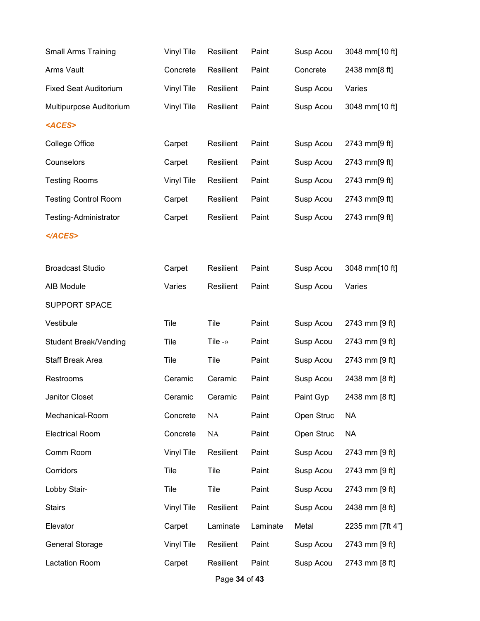| <b>Small Arms Training</b>   | Vinyl Tile | Resilient           | Paint    | Susp Acou  | 3048 mm[10 ft]   |
|------------------------------|------------|---------------------|----------|------------|------------------|
| Arms Vault                   | Concrete   | Resilient           | Paint    | Concrete   | 2438 mm[8 ft]    |
| <b>Fixed Seat Auditorium</b> | Vinyl Tile | Resilient           | Paint    | Susp Acou  | Varies           |
| Multipurpose Auditorium      | Vinyl Tile | Resilient           | Paint    | Susp Acou  | 3048 mm[10 ft]   |
| <aces></aces>                |            |                     |          |            |                  |
| College Office               | Carpet     | Resilient           | Paint    | Susp Acou  | 2743 mm[9 ft]    |
| Counselors                   | Carpet     | Resilient           | Paint    | Susp Acou  | 2743 mm[9 ft]    |
| <b>Testing Rooms</b>         | Vinyl Tile | Resilient           | Paint    | Susp Acou  | 2743 mm[9 ft]    |
| <b>Testing Control Room</b>  | Carpet     | Resilient           | Paint    | Susp Acou  | 2743 mm[9 ft]    |
| <b>Testing-Administrator</b> | Carpet     | Resilient           | Paint    | Susp Acou  | 2743 mm[9 ft]    |
|                              |            |                     |          |            |                  |
| <b>Broadcast Studio</b>      | Carpet     | Resilient           | Paint    | Susp Acou  | 3048 mm[10 ft]   |
| AIB Module                   | Varies     | Resilient           | Paint    | Susp Acou  | Varies           |
| <b>SUPPORT SPACE</b>         |            |                     |          |            |                  |
| Vestibule                    | Tile       | Tile                | Paint    | Susp Acou  | 2743 mm [9 ft]   |
| <b>Student Break/Vending</b> | Tile       | Tile - $\mathbf{v}$ | Paint    | Susp Acou  | 2743 mm [9 ft]   |
| Staff Break Area             | Tile       | Tile                | Paint    | Susp Acou  | 2743 mm [9 ft]   |
| Restrooms                    | Ceramic    | Ceramic             | Paint    | Susp Acou  | 2438 mm [8 ft]   |
| Janitor Closet               | Ceramic    | Ceramic             | Paint    | Paint Gyp  | 2438 mm [8 ft]   |
| Mechanical-Room              | Concrete   | NA                  | Paint    | Open Struc | <b>NA</b>        |
| <b>Electrical Room</b>       | Concrete   | NA                  | Paint    | Open Struc | <b>NA</b>        |
| Comm Room                    | Vinyl Tile | Resilient           | Paint    | Susp Acou  | 2743 mm [9 ft]   |
| Corridors                    | Tile       | Tile                | Paint    | Susp Acou  | 2743 mm [9 ft]   |
| Lobby Stair-                 | Tile       | Tile                | Paint    | Susp Acou  | 2743 mm [9 ft]   |
| <b>Stairs</b>                | Vinyl Tile | Resilient           | Paint    | Susp Acou  | 2438 mm [8 ft]   |
| Elevator                     | Carpet     | Laminate            | Laminate | Metal      | 2235 mm [7ft 4"] |
| <b>General Storage</b>       | Vinyl Tile | Resilient           | Paint    | Susp Acou  | 2743 mm [9 ft]   |
| <b>Lactation Room</b>        | Carpet     | Resilient           | Paint    | Susp Acou  | 2743 mm [8 ft]   |

Page **34** of **43**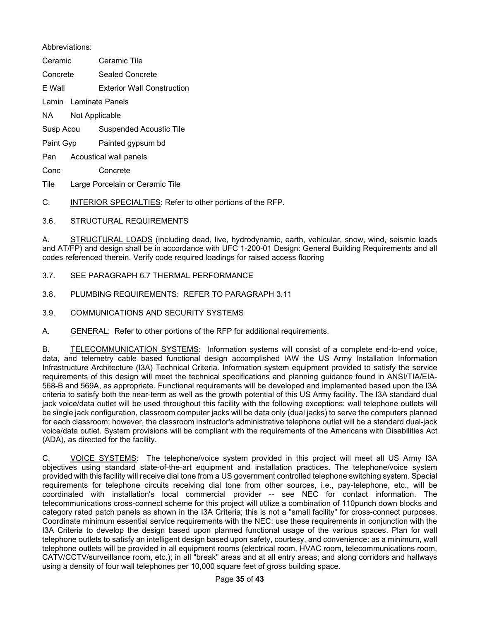Abbreviations:

Ceramic Ceramic Tile

Concrete Sealed Concrete

E Wall Exterior Wall Construction

Lamin Laminate Panels

NA Not Applicable

Susp Acou Suspended Acoustic Tile

Paint Gyp Painted gypsum bd

Pan Acoustical wall panels

Conc Concrete

Tile Large Porcelain or Ceramic Tile

C. INTERIOR SPECIALTIES: Refer to other portions of the RFP.

3.6. STRUCTURAL REQUIREMENTS

A. STRUCTURAL LOADS (including dead, live, hydrodynamic, earth, vehicular, snow, wind, seismic loads and AT/FP) and design shall be in accordance with UFC 1-200-01 Design: General Building Requirements and all codes referenced therein. Verify code required loadings for raised access flooring

3.7. SEE PARAGRAPH 6.7 THERMAL PERFORMANCE

3.8. PLUMBING REQUIREMENTS: REFER TO PARAGRAPH 3.11

3.9. COMMUNICATIONS AND SECURITY SYSTEMS

A. GENERAL: Refer to other portions of the RFP for additional requirements.

B. TELECOMMUNICATION SYSTEMS: Information systems will consist of a complete end-to-end voice, data, and telemetry cable based functional design accomplished IAW the US Army Installation Information Infrastructure Architecture (I3A) Technical Criteria. Information system equipment provided to satisfy the service requirements of this design will meet the technical specifications and planning guidance found in ANSI/TIA/EIA-568-B and 569A, as appropriate. Functional requirements will be developed and implemented based upon the I3A criteria to satisfy both the near-term as well as the growth potential of this US Army facility. The I3A standard dual jack voice/data outlet will be used throughout this facility with the following exceptions: wall telephone outlets will be single jack configuration, classroom computer jacks will be data only (dual jacks) to serve the computers planned for each classroom; however, the classroom instructor's administrative telephone outlet will be a standard dual-jack voice/data outlet. System provisions will be compliant with the requirements of the Americans with Disabilities Act (ADA), as directed for the facility.

C. VOICE SYSTEMS: The telephone/voice system provided in this project will meet all US Army I3A objectives using standard state-of-the-art equipment and installation practices. The telephone/voice system provided with this facility will receive dial tone from a US government controlled telephone switching system. Special requirements for telephone circuits receiving dial tone from other sources, i.e., pay-telephone, etc., will be coordinated with installation's local commercial provider -- see NEC for contact information. The telecommunications cross-connect scheme for this project will utilize a combination of 110punch down blocks and category rated patch panels as shown in the I3A Criteria; this is not a "small facility" for cross-connect purposes. Coordinate minimum essential service requirements with the NEC; use these requirements in conjunction with the I3A Criteria to develop the design based upon planned functional usage of the various spaces. Plan for wall telephone outlets to satisfy an intelligent design based upon safety, courtesy, and convenience: as a minimum, wall telephone outlets will be provided in all equipment rooms (electrical room, HVAC room, telecommunications room, CATV/CCTV/surveillance room, etc.); in all "break" areas and at all entry areas; and along corridors and hallways using a density of four wall telephones per 10,000 square feet of gross building space.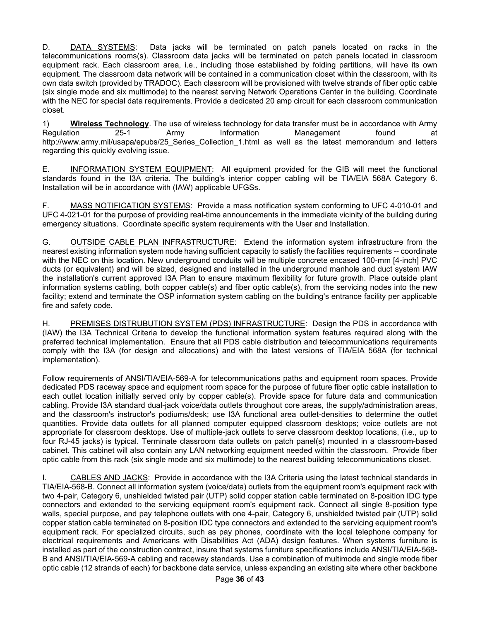D. DATA SYSTEMS: Data jacks will be terminated on patch panels located on racks in the telecommunications rooms(s). Classroom data jacks will be terminated on patch panels located in classroom equipment rack. Each classroom area, i.e., including those established by folding partitions, will have its own equipment. The classroom data network will be contained in a communication closet within the classroom, with its own data switch (provided by TRADOC). Each classroom will be provisioned with twelve strands of fiber optic cable (six single mode and six multimode) to the nearest serving Network Operations Center in the building. Coordinate with the NEC for special data requirements. Provide a dedicated 20 amp circuit for each classroom communication closet.

1) **Wireless Technology**. The use of wireless technology for data transfer must be in accordance with Army Regulation 25-1 Army Information Management found at http://www.army.mil/usapa/epubs/25\_Series\_Collection\_1.html as well as the latest memorandum and letters regarding this quickly evolving issue.

E. INFORMATION SYSTEM EQUIPMENT: All equipment provided for the GIB will meet the functional standards found in the I3A criteria. The building's interior copper cabling will be TIA/EIA 568A Category 6. Installation will be in accordance with (IAW) applicable UFGSs.

F. MASS NOTIFICATION SYSTEMS: Provide a mass notification system conforming to UFC 4-010-01 and UFC 4-021-01 for the purpose of providing real-time announcements in the immediate vicinity of the building during emergency situations. Coordinate specific system requirements with the User and Installation.

G. OUTSIDE CABLE PLAN INFRASTRUCTURE: Extend the information system infrastructure from the nearest existing information system node having sufficient capacity to satisfy the facilities requirements -- coordinate with the NEC on this location. New underground conduits will be multiple concrete encased 100-mm [4-inch] PVC ducts (or equivalent) and will be sized, designed and installed in the underground manhole and duct system IAW the installation's current approved I3A Plan to ensure maximum flexibility for future growth. Place outside plant information systems cabling, both copper cable(s) and fiber optic cable(s), from the servicing nodes into the new facility; extend and terminate the OSP information system cabling on the building's entrance facility per applicable fire and safety code.

H. PREMISES DISTRUBUTION SYSTEM (PDS) INFRASTRUCTURE: Design the PDS in accordance with (IAW) the I3A Technical Criteria to develop the functional information system features required along with the preferred technical implementation. Ensure that all PDS cable distribution and telecommunications requirements comply with the I3A (for design and allocations) and with the latest versions of TIA/EIA 568A (for technical implementation).

Follow requirements of ANSI/TIA/EIA-569-A for telecommunications paths and equipment room spaces. Provide dedicated PDS raceway space and equipment room space for the purpose of future fiber optic cable installation to each outlet location initially served only by copper cable(s). Provide space for future data and communication cabling. Provide I3A standard dual-jack voice/data outlets throughout core areas, the supply/administration areas, and the classroom's instructor's podiums/desk; use I3A functional area outlet-densities to determine the outlet quantities. Provide data outlets for all planned computer equipped classroom desktops; voice outlets are not appropriate for classroom desktops. Use of multiple-jack outlets to serve classroom desktop locations, (i.e., up to four RJ-45 jacks) is typical. Terminate classroom data outlets on patch panel(s) mounted in a classroom-based cabinet. This cabinet will also contain any LAN networking equipment needed within the classroom. Provide fiber optic cable from this rack (six single mode and six multimode) to the nearest building telecommunications closet.

CABLES AND JACKS: Provide in accordance with the I3A Criteria using the latest technical standards in TIA/EIA-568-B. Connect all information system (voice/data) outlets from the equipment room's equipment rack with two 4-pair, Category 6, unshielded twisted pair (UTP) solid copper station cable terminated on 8-position IDC type connectors and extended to the servicing equipment room's equipment rack. Connect all single 8-position type walls, special purpose, and pay telephone outlets with one 4-pair, Category 6, unshielded twisted pair (UTP) solid copper station cable terminated on 8-position IDC type connectors and extended to the servicing equipment room's equipment rack. For specialized circuits, such as pay phones, coordinate with the local telephone company for electrical requirements and Americans with Disabilities Act (ADA) design features. When systems furniture is installed as part of the construction contract, insure that systems furniture specifications include ANSI/TIA/EIA-568- B and ANSI/TIA/EIA-569-A cabling and raceway standards. Use a combination of multimode and single mode fiber optic cable (12 strands of each) for backbone data service, unless expanding an existing site where other backbone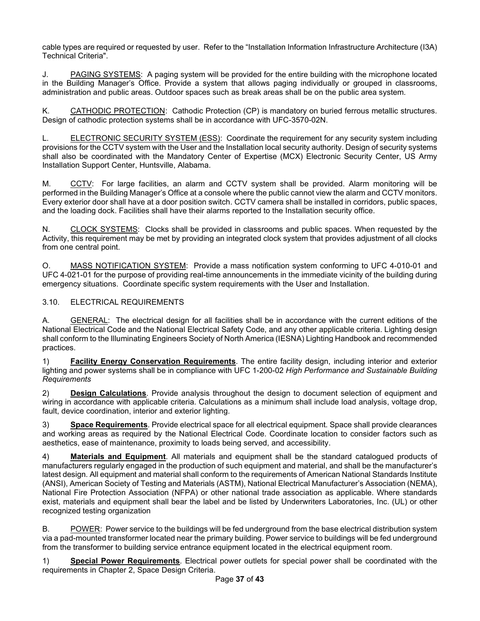cable types are required or requested by user. Refer to the "Installation Information Infrastructure Architecture (I3A) Technical Criteria".

J. PAGING SYSTEMS: A paging system will be provided for the entire building with the microphone located in the Building Manager's Office. Provide a system that allows paging individually or grouped in classrooms, administration and public areas. Outdoor spaces such as break areas shall be on the public area system.

K. CATHODIC PROTECTION: Cathodic Protection (CP) is mandatory on buried ferrous metallic structures. Design of cathodic protection systems shall be in accordance with UFC-3570-02N.

L. ELECTRONIC SECURITY SYSTEM (ESS): Coordinate the requirement for any security system including provisions for the CCTV system with the User and the Installation local security authority. Design of security systems shall also be coordinated with the Mandatory Center of Expertise (MCX) Electronic Security Center, US Army Installation Support Center, Huntsville, Alabama.

M. CCTV: For large facilities, an alarm and CCTV system shall be provided. Alarm monitoring will be performed in the Building Manager's Office at a console where the public cannot view the alarm and CCTV monitors. Every exterior door shall have at a door position switch. CCTV camera shall be installed in corridors, public spaces, and the loading dock. Facilities shall have their alarms reported to the Installation security office.

N. CLOCK SYSTEMS: Clocks shall be provided in classrooms and public spaces. When requested by the Activity, this requirement may be met by providing an integrated clock system that provides adjustment of all clocks from one central point.

O. MASS NOTIFICATION SYSTEM: Provide a mass notification system conforming to UFC 4-010-01 and UFC 4-021-01 for the purpose of providing real-time announcements in the immediate vicinity of the building during emergency situations. Coordinate specific system requirements with the User and Installation.

3.10. ELECTRICAL REQUIREMENTS

A. GENERAL: The electrical design for all facilities shall be in accordance with the current editions of the National Electrical Code and the National Electrical Safety Code, and any other applicable criteria. Lighting design shall conform to the Illuminating Engineers Society of North America (IESNA) Lighting Handbook and recommended practices.

1) **Facility Energy Conservation Requirements**. The entire facility design, including interior and exterior lighting and power systems shall be in compliance with UFC 1-200-02 *High Performance and Sustainable Building Requirements*

2) **Design Calculations**. Provide analysis throughout the design to document selection of equipment and wiring in accordance with applicable criteria. Calculations as a minimum shall include load analysis, voltage drop, fault, device coordination, interior and exterior lighting.

3) **Space Requirements**. Provide electrical space for all electrical equipment. Space shall provide clearances and working areas as required by the National Electrical Code. Coordinate location to consider factors such as aesthetics, ease of maintenance, proximity to loads being served, and accessibility.

4) **Materials and Equipment**. All materials and equipment shall be the standard catalogued products of manufacturers regularly engaged in the production of such equipment and material, and shall be the manufacturer's latest design. All equipment and material shall conform to the requirements of American National Standards Institute (ANSI), American Society of Testing and Materials (ASTM), National Electrical Manufacturer's Association (NEMA), National Fire Protection Association (NFPA) or other national trade association as applicable. Where standards exist, materials and equipment shall bear the label and be listed by Underwriters Laboratories, Inc. (UL) or other recognized testing organization

B. POWER: Power service to the buildings will be fed underground from the base electrical distribution system via a pad-mounted transformer located near the primary building. Power service to buildings will be fed underground from the transformer to building service entrance equipment located in the electrical equipment room.

1) **Special Power Requirements**. Electrical power outlets for special power shall be coordinated with the requirements in Chapter 2, Space Design Criteria.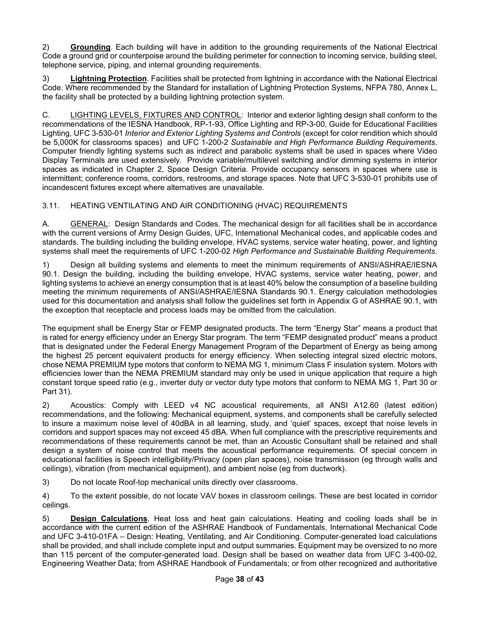2) **Grounding**. Each building will have in addition to the grounding requirements of the National Electrical Code a ground grid or counterpoise around the building perimeter for connection to incoming service, building steel, telephone service, piping, and internal grounding requirements.

3) **Lightning Protection**. Facilities shall be protected from lightning in accordance with the National Electrical Code. Where recommended by the Standard for installation of Lightning Protection Systems, NFPA 780, Annex L, the facility shall be protected by a building lightning protection system.

C. LIGHTING LEVELS, FIXTURES AND CONTROL: Interior and exterior lighting design shall conform to the recommendations of the IESNA Handbook, RP-1-93, Office Lighting and RP-3-00, Guide for Educational Facilities Lighting, UFC 3-530-01 *Interior and Exterior Lighting Systems and Controls* (except for color rendition which should be 5,000K for classrooms spaces) and UFC 1-200-2 *Sustainable and High Performance Building Requirements*. Computer friendly lighting systems such as indirect and parabolic systems shall be used in spaces where Video Display Terminals are used extensively. Provide variable/multilevel switching and/or dimming systems in interior spaces as indicated in Chapter 2, Space Design Criteria. Provide occupancy sensors in spaces where use is intermittent; conference rooms, corridors, restrooms, and storage spaces. Note that UFC 3-530-01 prohibits use of incandescent fixtures except where alternatives are unavailable.

## 3.11. HEATING VENTILATING AND AIR CONDITIONING (HVAC) REQUIREMENTS

A. GENERAL: Design Standards and Codes. The mechanical design for all facilities shall be in accordance with the current versions of Army Design Guides, UFC, International Mechanical codes, and applicable codes and standards. The building including the building envelope, HVAC systems, service water heating, power, and lighting systems shall meet the requirements of UFC 1-200-02 *High Performance and Sustainable Building Requirements*.

1) Design all building systems and elements to meet the minimum requirements of ANSI/ASHRAE/IESNA 90.1. Design the building, including the building envelope, HVAC systems, service water heating, power, and lighting systems to achieve an energy consumption that is at least 40% below the consumption of a baseline building meeting the minimum requirements of ANSI/ASHRAE/IESNA Standards 90.1. Energy calculation methodologies used for this documentation and analysis shall follow the guidelines set forth in Appendix G of ASHRAE 90.1, with the exception that receptacle and process loads may be omitted from the calculation.

The equipment shall be Energy Star or FEMP designated products. The term "Energy Star" means a product that is rated for energy efficiency under an Energy Star program. The term "FEMP designated product" means a product that is designated under the Federal Energy Management Program of the Department of Energy as being among the highest 25 percent equivalent products for energy efficiency. When selecting integral sized electric motors, chose NEMA PREMIUM type motors that conform to NEMA MG 1, minimum Class F insulation system. Motors with efficiencies lower than the NEMA PREMIUM standard may only be used in unique application that require a high constant torque speed ratio (e.g., inverter duty or vector duty type motors that conform to NEMA MG 1, Part 30 or Part 31).

2) Acoustics: Comply with LEED v4 NC acoustical requirements, all ANSI A12.60 (latest edition) recommendations, and the following: Mechanical equipment, systems, and components shall be carefully selected to insure a maximum noise level of 40dBA in all learning, study, and 'quiet' spaces, except that noise levels in corridors and support spaces may not exceed 45 dBA. When full compliance with the prescriptive requirements and recommendations of these requirements cannot be met, than an Acoustic Consultant shall be retained and shall design a system of noise control that meets the acoustical performance requirements. Of special concern in educational facilities is Speech intelligibility/Privacy (open plan spaces), noise transmission (eg through walls and ceilings), vibration (from mechanical equipment), and ambient noise (eg from ductwork).

3) Do not locate Roof-top mechanical units directly over classrooms.

4) To the extent possible, do not locate VAV boxes in classroom ceilings. These are best located in corridor ceilings.

5) **Design Calculations**. Heat loss and heat gain calculations. Heating and cooling loads shall be in accordance with the current edition of the ASHRAE Handbook of Fundamentals, International Mechanical Code and UFC 3-410-01FA – Design: Heating, Ventilating, and Air Conditioning. Computer-generated load calculations shall be provided, and shall include complete input and output summaries. Equipment may be oversized to no more than 115 percent of the computer-generated load. Design shall be based on weather data from UFC 3-400-02, Engineering Weather Data; from ASHRAE Handbook of Fundamentals; or from other recognized and authoritative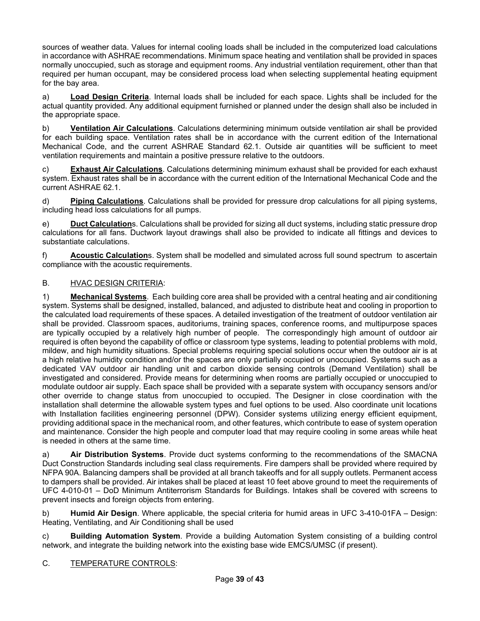sources of weather data. Values for internal cooling loads shall be included in the computerized load calculations in accordance with ASHRAE recommendations. Minimum space heating and ventilation shall be provided in spaces normally unoccupied, such as storage and equipment rooms. Any industrial ventilation requirement, other than that required per human occupant, may be considered process load when selecting supplemental heating equipment for the bay area.

a) **Load Design Criteria**. Internal loads shall be included for each space. Lights shall be included for the actual quantity provided. Any additional equipment furnished or planned under the design shall also be included in the appropriate space.

b) **Ventilation Air Calculations**. Calculations determining minimum outside ventilation air shall be provided for each building space. Ventilation rates shall be in accordance with the current edition of the International Mechanical Code, and the current ASHRAE Standard 62.1. Outside air quantities will be sufficient to meet ventilation requirements and maintain a positive pressure relative to the outdoors.

c) **Exhaust Air Calculations**. Calculations determining minimum exhaust shall be provided for each exhaust system. Exhaust rates shall be in accordance with the current edition of the International Mechanical Code and the current ASHRAE 62.1.

d) **Piping Calculations**. Calculations shall be provided for pressure drop calculations for all piping systems, including head loss calculations for all pumps.

e) **Duct Calculation**s. Calculations shall be provided for sizing all duct systems, including static pressure drop calculations for all fans. Ductwork layout drawings shall also be provided to indicate all fittings and devices to substantiate calculations.

f) **Acoustic Calculation**s. System shall be modelled and simulated across full sound spectrum to ascertain compliance with the acoustic requirements.

## B. HVAC DESIGN CRITERIA:

1) **Mechanical Systems**. Each building core area shall be provided with a central heating and air conditioning system. Systems shall be designed, installed, balanced, and adjusted to distribute heat and cooling in proportion to the calculated load requirements of these spaces. A detailed investigation of the treatment of outdoor ventilation air shall be provided. Classroom spaces, auditoriums, training spaces, conference rooms, and multipurpose spaces are typically occupied by a relatively high number of people. The correspondingly high amount of outdoor air required is often beyond the capability of office or classroom type systems, leading to potential problems with mold, mildew, and high humidity situations. Special problems requiring special solutions occur when the outdoor air is at a high relative humidity condition and/or the spaces are only partially occupied or unoccupied. Systems such as a dedicated VAV outdoor air handling unit and carbon dioxide sensing controls (Demand Ventilation) shall be investigated and considered. Provide means for determining when rooms are partially occupied or unoccupied to modulate outdoor air supply. Each space shall be provided with a separate system with occupancy sensors and/or other override to change status from unoccupied to occupied. The Designer in close coordination with the installation shall determine the allowable system types and fuel options to be used. Also coordinate unit locations with Installation facilities engineering personnel (DPW). Consider systems utilizing energy efficient equipment, providing additional space in the mechanical room, and other features, which contribute to ease of system operation and maintenance. Consider the high people and computer load that may require cooling in some areas while heat is needed in others at the same time.

a) **Air Distribution Systems**. Provide duct systems conforming to the recommendations of the SMACNA Duct Construction Standards including seal class requirements. Fire dampers shall be provided where required by NFPA 90A. Balancing dampers shall be provided at all branch takeoffs and for all supply outlets. Permanent access to dampers shall be provided. Air intakes shall be placed at least 10 feet above ground to meet the requirements of UFC 4-010-01 – DoD Minimum Antiterrorism Standards for Buildings. Intakes shall be covered with screens to prevent insects and foreign objects from entering.

b) **Humid Air Design**. Where applicable, the special criteria for humid areas in UFC 3-410-01FA – Design: Heating, Ventilating, and Air Conditioning shall be used

c) **Building Automation System**. Provide a building Automation System consisting of a building control network, and integrate the building network into the existing base wide EMCS/UMSC (if present).

## C. TEMPERATURE CONTROLS: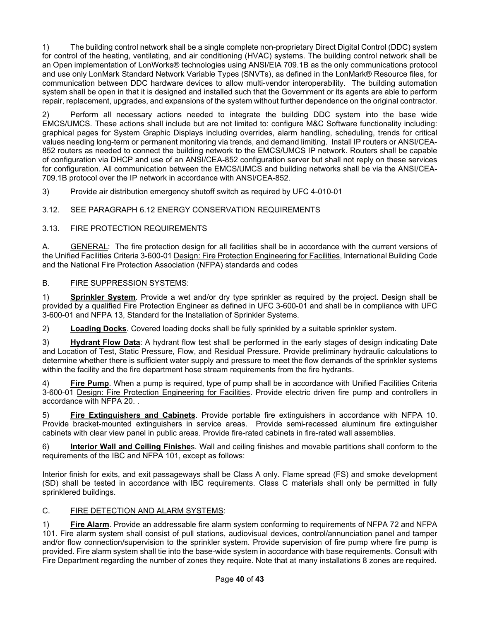1) The building control network shall be a single complete non-proprietary Direct Digital Control (DDC) system for control of the heating, ventilating, and air conditioning (HVAC) systems. The building control network shall be an Open implementation of LonWorks® technologies using ANSI/EIA 709.1B as the only communications protocol and use only LonMark Standard Network Variable Types (SNVTs), as defined in the LonMark® Resource files, for communication between DDC hardware devices to allow multi-vendor interoperability. The building automation system shall be open in that it is designed and installed such that the Government or its agents are able to perform repair, replacement, upgrades, and expansions of the system without further dependence on the original contractor.

2) Perform all necessary actions needed to integrate the building DDC system into the base wide EMCS/UMCS. These actions shall include but are not limited to: configure M&C Software functionality including: graphical pages for System Graphic Displays including overrides, alarm handling, scheduling, trends for critical values needing long-term or permanent monitoring via trends, and demand limiting. Install IP routers or ANSI/CEA-852 routers as needed to connect the building network to the EMCS/UMCS IP network. Routers shall be capable of configuration via DHCP and use of an ANSI/CEA-852 configuration server but shall not reply on these services for configuration. All communication between the EMCS/UMCS and building networks shall be via the ANSI/CEA-709.1B protocol over the IP network in accordance with ANSI/CEA-852.

3) Provide air distribution emergency shutoff switch as required by UFC 4-010-01

# 3.12. SEE PARAGRAPH 6.12 ENERGY CONSERVATION REQUIREMENTS

# 3.13. FIRE PROTECTION REQUIREMENTS

A. GENERAL: The fire protection design for all facilities shall be in accordance with the current versions of the Unified Facilities Criteria 3-600-01 Design: Fire Protection Engineering for Facilities, International Building Code and the National Fire Protection Association (NFPA) standards and codes

### B. FIRE SUPPRESSION SYSTEMS:

1) **Sprinkler System**. Provide a wet and/or dry type sprinkler as required by the project. Design shall be provided by a qualified Fire Protection Engineer as defined in UFC 3-600-01 and shall be in compliance with UFC 3-600-01 and NFPA 13, Standard for the Installation of Sprinkler Systems.

2) **Loading Docks**. Covered loading docks shall be fully sprinkled by a suitable sprinkler system.

3) **Hydrant Flow Data**: A hydrant flow test shall be performed in the early stages of design indicating Date and Location of Test, Static Pressure, Flow, and Residual Pressure. Provide preliminary hydraulic calculations to determine whether there is sufficient water supply and pressure to meet the flow demands of the sprinkler systems within the facility and the fire department hose stream requirements from the fire hydrants.

4) **Fire Pump**. When a pump is required, type of pump shall be in accordance with Unified Facilities Criteria 3-600-01 Design: Fire Protection Engineering for Facilities. Provide electric driven fire pump and controllers in accordance with NFPA 20. .

5) **Fire Extinguishers and Cabinets**. Provide portable fire extinguishers in accordance with NFPA 10. Provide bracket-mounted extinguishers in service areas. Provide semi-recessed aluminum fire extinguisher cabinets with clear view panel in public areas. Provide fire-rated cabinets in fire-rated wall assemblies.

6) **Interior Wall and Ceiling Finishe**s. Wall and ceiling finishes and movable partitions shall conform to the requirements of the IBC and NFPA 101, except as follows:

Interior finish for exits, and exit passageways shall be Class A only. Flame spread (FS) and smoke development (SD) shall be tested in accordance with IBC requirements. Class C materials shall only be permitted in fully sprinklered buildings.

## C. FIRE DETECTION AND ALARM SYSTEMS:

1) **Fire Alarm**. Provide an addressable fire alarm system conforming to requirements of NFPA 72 and NFPA 101. Fire alarm system shall consist of pull stations, audiovisual devices, control/annunciation panel and tamper and/or flow connection/supervision to the sprinkler system. Provide supervision of fire pump where fire pump is provided. Fire alarm system shall tie into the base-wide system in accordance with base requirements. Consult with Fire Department regarding the number of zones they require. Note that at many installations 8 zones are required.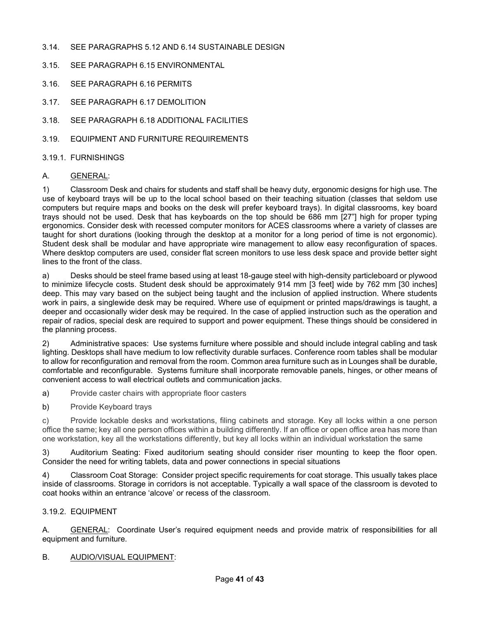- 3.14. SEE PARAGRAPHS 5.12 AND 6.14 SUSTAINABLE DESIGN
- 3.15. SEE PARAGRAPH 6.15 ENVIRONMENTAL
- 3.16. SEE PARAGRAPH 6.16 PERMITS
- 3.17. SEE PARAGRAPH 6.17 DEMOLITION
- 3.18. SEE PARAGRAPH 6.18 ADDITIONAL FACILITIES
- 3.19. EQUIPMENT AND FURNITURE REQUIREMENTS

#### 3.19.1. FURNISHINGS

#### A. GENERAL:

1) Classroom Desk and chairs for students and staff shall be heavy duty, ergonomic designs for high use. The use of keyboard trays will be up to the local school based on their teaching situation (classes that seldom use computers but require maps and books on the desk will prefer keyboard trays). In digital classrooms, key board trays should not be used. Desk that has keyboards on the top should be 686 mm [27"] high for proper typing ergonomics. Consider desk with recessed computer monitors for ACES classrooms where a variety of classes are taught for short durations (looking through the desktop at a monitor for a long period of time is not ergonomic). Student desk shall be modular and have appropriate wire management to allow easy reconfiguration of spaces. Where desktop computers are used, consider flat screen monitors to use less desk space and provide better sight lines to the front of the class.

a) Desks should be steel frame based using at least 18-gauge steel with high-density particleboard or plywood to minimize lifecycle costs. Student desk should be approximately 914 mm [3 feet] wide by 762 mm [30 inches] deep. This may vary based on the subject being taught and the inclusion of applied instruction. Where students work in pairs, a singlewide desk may be required. Where use of equipment or printed maps/drawings is taught, a deeper and occasionally wider desk may be required. In the case of applied instruction such as the operation and repair of radios, special desk are required to support and power equipment. These things should be considered in the planning process.

2) Administrative spaces: Use systems furniture where possible and should include integral cabling and task lighting. Desktops shall have medium to low reflectivity durable surfaces. Conference room tables shall be modular to allow for reconfiguration and removal from the room. Common area furniture such as in Lounges shall be durable, comfortable and reconfigurable. Systems furniture shall incorporate removable panels, hinges, or other means of convenient access to wall electrical outlets and communication jacks.

a) Provide caster chairs with appropriate floor casters

b) Provide Keyboard trays

c) Provide lockable desks and workstations, filing cabinets and storage. Key all locks within a one person office the same; key all one person offices within a building differently. If an office or open office area has more than one workstation, key all the workstations differently, but key all locks within an individual workstation the same

3) Auditorium Seating: Fixed auditorium seating should consider riser mounting to keep the floor open. Consider the need for writing tablets, data and power connections in special situations

4) Classroom Coat Storage: Consider project specific requirements for coat storage. This usually takes place inside of classrooms. Storage in corridors is not acceptable. Typically a wall space of the classroom is devoted to coat hooks within an entrance 'alcove' or recess of the classroom.

#### 3.19.2. EQUIPMENT

A. **GENERAL:** Coordinate User's required equipment needs and provide matrix of responsibilities for all equipment and furniture.

#### B. AUDIO/VISUAL EQUIPMENT: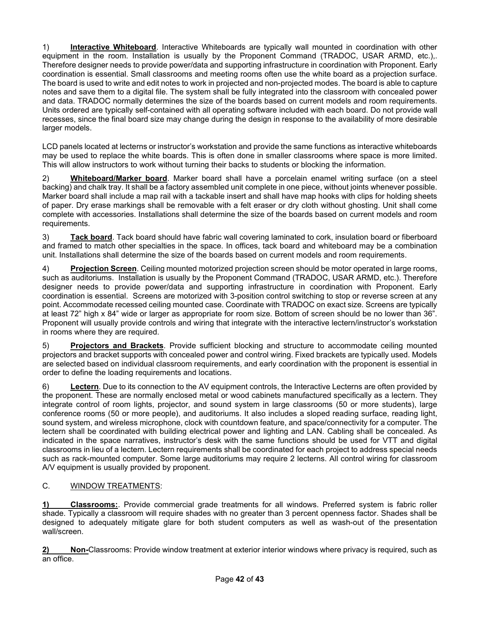1) **Interactive Whiteboard**. Interactive Whiteboards are typically wall mounted in coordination with other equipment in the room. Installation is usually by the Proponent Command (TRADOC, USAR ARMD, etc.),. Therefore designer needs to provide power/data and supporting infrastructure in coordination with Proponent. Early coordination is essential. Small classrooms and meeting rooms often use the white board as a projection surface. The board is used to write and edit notes to work in projected and non-projected modes. The board is able to capture notes and save them to a digital file. The system shall be fully integrated into the classroom with concealed power and data. TRADOC normally determines the size of the boards based on current models and room requirements. Units ordered are typically self-contained with all operating software included with each board. Do not provide wall recesses, since the final board size may change during the design in response to the availability of more desirable larger models.

LCD panels located at lecterns or instructor's workstation and provide the same functions as interactive whiteboards may be used to replace the white boards. This is often done in smaller classrooms where space is more limited. This will allow instructors to work without turning their backs to students or blocking the information.

2) **Whiteboard/Marker board**. Marker board shall have a porcelain enamel writing surface (on a steel backing) and chalk tray. It shall be a factory assembled unit complete in one piece, without joints whenever possible. Marker board shall include a map rail with a tackable insert and shall have map hooks with clips for holding sheets of paper. Dry erase markings shall be removable with a felt eraser or dry cloth without ghosting. Unit shall come complete with accessories. Installations shall determine the size of the boards based on current models and room requirements.

3) **Tack board**. Tack board should have fabric wall covering laminated to cork, insulation board or fiberboard and framed to match other specialties in the space. In offices, tack board and whiteboard may be a combination unit. Installations shall determine the size of the boards based on current models and room requirements.

4) **Projection Screen**. Ceiling mounted motorized projection screen should be motor operated in large rooms, such as auditoriums. Installation is usually by the Proponent Command (TRADOC, USAR ARMD, etc.). Therefore designer needs to provide power/data and supporting infrastructure in coordination with Proponent. Early coordination is essential. Screens are motorized with 3-position control switching to stop or reverse screen at any point. Accommodate recessed ceiling mounted case. Coordinate with TRADOC on exact size. Screens are typically at least 72" high x 84" wide or larger as appropriate for room size. Bottom of screen should be no lower than 36". Proponent will usually provide controls and wiring that integrate with the interactive lectern/instructor's workstation in rooms where they are required.

5) **Projectors and Brackets**. Provide sufficient blocking and structure to accommodate ceiling mounted projectors and bracket supports with concealed power and control wiring. Fixed brackets are typically used. Models are selected based on individual classroom requirements, and early coordination with the proponent is essential in order to define the loading requirements and locations.

6) **Lectern**. Due to its connection to the AV equipment controls, the Interactive Lecterns are often provided by the proponent. These are normally enclosed metal or wood cabinets manufactured specifically as a lectern. They integrate control of room lights, projector, and sound system in large classrooms (50 or more students), large conference rooms (50 or more people), and auditoriums. It also includes a sloped reading surface, reading light, sound system, and wireless microphone, clock with countdown feature, and space/connectivity for a computer. The lectern shall be coordinated with building electrical power and lighting and LAN. Cabling shall be concealed. As indicated in the space narratives, instructor's desk with the same functions should be used for VTT and digital classrooms in lieu of a lectern. Lectern requirements shall be coordinated for each project to address special needs such as rack-mounted computer. Some large auditoriums may require 2 lecterns. All control wiring for classroom A/V equipment is usually provided by proponent.

## C. WINDOW TREATMENTS:

**1) Classrooms:**. Provide commercial grade treatments for all windows. Preferred system is fabric roller shade. Typically a classroom will require shades with no greater than 3 percent openness factor. Shades shall be designed to adequately mitigate glare for both student computers as well as wash-out of the presentation wall/screen.

**2) Non-**Classrooms: Provide window treatment at exterior interior windows where privacy is required, such as an office.